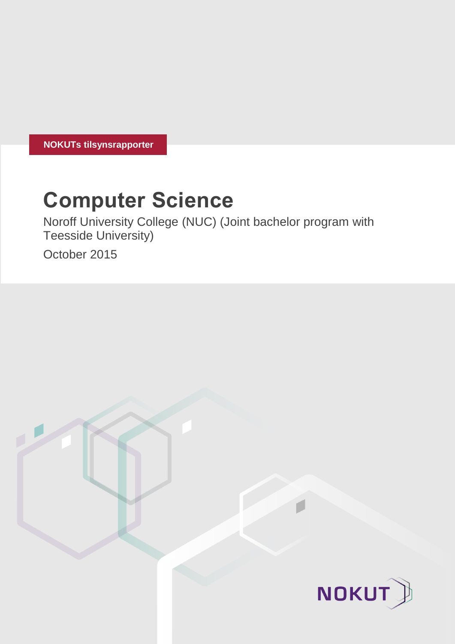**NOKUTs tilsynsrapporter**

# **Computer Science**

Noroff University College (NUC) (Joint bachelor program with Teesside University)

October 2015

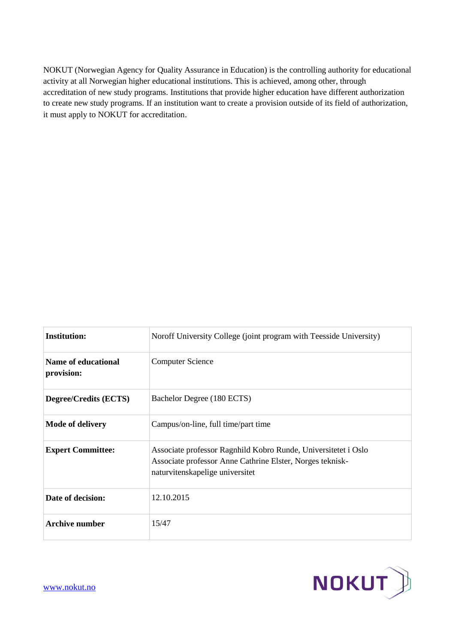NOKUT (Norwegian Agency for Quality Assurance in Education) is the controlling authority for educational activity at all Norwegian higher educational institutions. This is achieved, among other, through accreditation of new study programs. Institutions that provide higher education have different authorization to create new study programs. If an institution want to create a provision outside of its field of authorization, it must apply to NOKUT for accreditation.

| <b>Institution:</b>               | Noroff University College (joint program with Teesside University)                                                                                             |
|-----------------------------------|----------------------------------------------------------------------------------------------------------------------------------------------------------------|
| Name of educational<br>provision: | <b>Computer Science</b>                                                                                                                                        |
| <b>Degree/Credits (ECTS)</b>      | Bachelor Degree (180 ECTS)                                                                                                                                     |
| Mode of delivery                  | Campus/on-line, full time/part time                                                                                                                            |
| <b>Expert Committee:</b>          | Associate professor Ragnhild Kobro Runde, Universitetet i Oslo<br>Associate professor Anne Cathrine Elster, Norges teknisk-<br>naturvitenskapelige universitet |
| Date of decision:                 | 12.10.2015                                                                                                                                                     |
| <b>Archive number</b>             | 15/47                                                                                                                                                          |

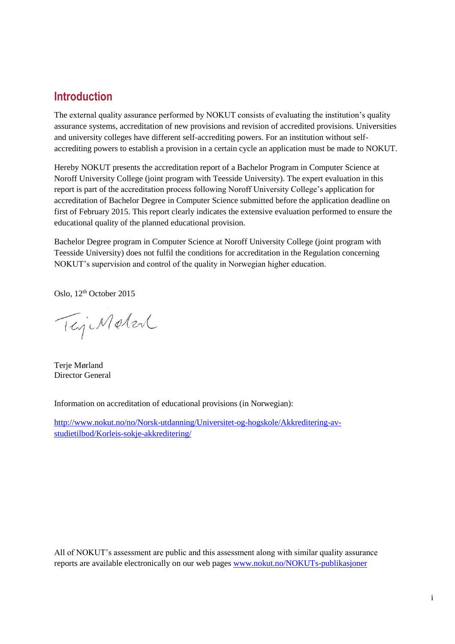# **Introduction**

The external quality assurance performed by NOKUT consists of evaluating the institution's quality assurance systems, accreditation of new provisions and revision of accredited provisions. Universities and university colleges have different self-accrediting powers. For an institution without selfaccrediting powers to establish a provision in a certain cycle an application must be made to NOKUT.

Hereby NOKUT presents the accreditation report of a Bachelor Program in Computer Science at Noroff University College (joint program with Teesside University). The expert evaluation in this report is part of the accreditation process following Noroff University College's application for accreditation of Bachelor Degree in Computer Science submitted before the application deadline on first of February 2015. This report clearly indicates the extensive evaluation performed to ensure the educational quality of the planned educational provision.

Bachelor Degree program in Computer Science at Noroff University College (joint program with Teesside University) does not fulfil the conditions for accreditation in the Regulation concerning NOKUT's supervision and control of the quality in Norwegian higher education.

Oslo, 12<sup>th</sup> October 2015

TejeMeter

Terje Mørland Director General

Information on accreditation of educational provisions (in Norwegian):

[http://www.nokut.no/no/Norsk-utdanning/Universitet-og-hogskole/Akkreditering-av](http://www.nokut.no/no/Norsk-utdanning/Universitet-og-hogskole/Akkreditering-av-studietilbod/Korleis-sokje-akkreditering/)[studietilbod/Korleis-sokje-akkreditering/](http://www.nokut.no/no/Norsk-utdanning/Universitet-og-hogskole/Akkreditering-av-studietilbod/Korleis-sokje-akkreditering/)

All of NOKUT's assessment are public and this assessment along with similar quality assurance reports are available electronically on our web pages [www.nokut.no/NOKUTs-publikasjoner](http://www.nokut.no/NOKUTs-publikasjoner)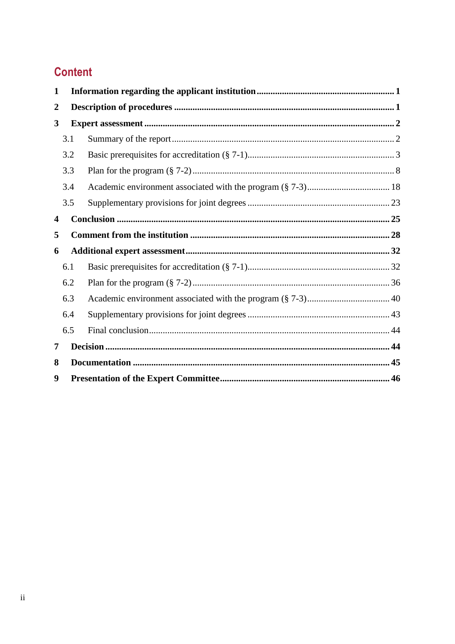# **Content**

| $\mathbf{1}$     |     |  |  |  |
|------------------|-----|--|--|--|
| $\boldsymbol{2}$ |     |  |  |  |
| 3                |     |  |  |  |
|                  | 3.1 |  |  |  |
|                  | 3.2 |  |  |  |
|                  | 3.3 |  |  |  |
|                  | 3.4 |  |  |  |
|                  | 3.5 |  |  |  |
| 4                |     |  |  |  |
| 5                |     |  |  |  |
| 6                |     |  |  |  |
|                  | 6.1 |  |  |  |
|                  | 6.2 |  |  |  |
|                  | 6.3 |  |  |  |
|                  | 6.4 |  |  |  |
|                  | 6.5 |  |  |  |
| 7                |     |  |  |  |
| 8                |     |  |  |  |
| 9                |     |  |  |  |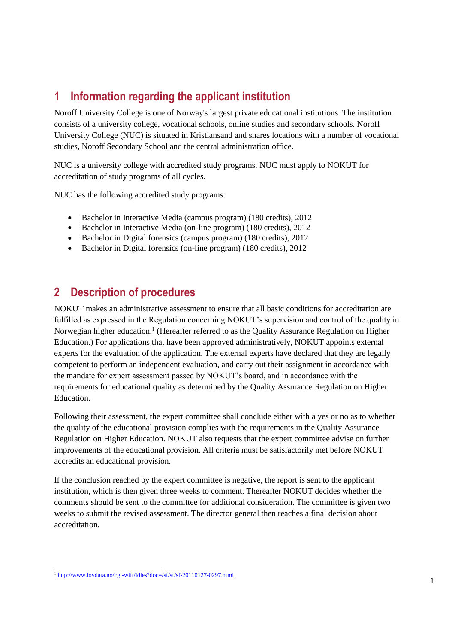# <span id="page-4-0"></span>**1 Information regarding the applicant institution**

Noroff University College is one of Norway's largest private educational institutions. The institution consists of a university college, vocational schools, online studies and secondary schools. Noroff University College (NUC) is situated in Kristiansand and shares locations with a number of vocational studies, Noroff Secondary School and the central administration office.

NUC is a university college with accredited study programs. NUC must apply to NOKUT for accreditation of study programs of all cycles.

NUC has the following accredited study programs:

- Bachelor in Interactive Media (campus program) (180 credits), 2012
- Bachelor in Interactive Media (on-line program) (180 credits), 2012
- Bachelor in Digital forensics (campus program) (180 credits), 2012
- Bachelor in Digital forensics (on-line program) (180 credits), 2012

# <span id="page-4-1"></span>**2 Description of procedures**

NOKUT makes an administrative assessment to ensure that all basic conditions for accreditation are fulfilled as expressed in the Regulation concerning NOKUT's supervision and control of the quality in Norwegian higher education.<sup>1</sup> (Hereafter referred to as the Quality Assurance Regulation on Higher Education.) For applications that have been approved administratively, NOKUT appoints external experts for the evaluation of the application. The external experts have declared that they are legally competent to perform an independent evaluation, and carry out their assignment in accordance with the mandate for expert assessment passed by NOKUT's board, and in accordance with the requirements for educational quality as determined by the Quality Assurance Regulation on Higher Education.

Following their assessment, the expert committee shall conclude either with a yes or no as to whether the quality of the educational provision complies with the requirements in the Quality Assurance Regulation on Higher Education. NOKUT also requests that the expert committee advise on further improvements of the educational provision. All criteria must be satisfactorily met before NOKUT accredits an educational provision.

If the conclusion reached by the expert committee is negative, the report is sent to the applicant institution, which is then given three weeks to comment. Thereafter NOKUT decides whether the comments should be sent to the committee for additional consideration. The committee is given two weeks to submit the revised assessment. The director general then reaches a final decision about accreditation.

 $\overline{\phantom{a}}$ <sup>1</sup> <http://www.lovdata.no/cgi-wift/ldles?doc=/sf/sf/sf-20110127-0297.html>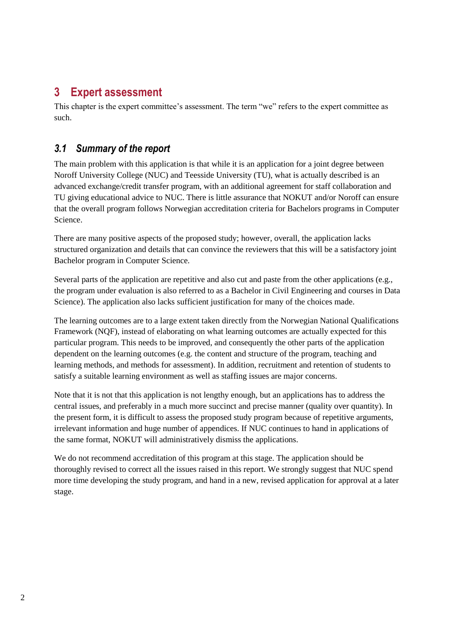# <span id="page-5-0"></span>**3 Expert assessment**

This chapter is the expert committee's assessment. The term "we" refers to the expert committee as such.

# <span id="page-5-1"></span>*3.1 Summary of the report*

The main problem with this application is that while it is an application for a joint degree between Noroff University College (NUC) and Teesside University (TU), what is actually described is an advanced exchange/credit transfer program, with an additional agreement for staff collaboration and TU giving educational advice to NUC. There is little assurance that NOKUT and/or Noroff can ensure that the overall program follows Norwegian accreditation criteria for Bachelors programs in Computer Science.

There are many positive aspects of the proposed study; however, overall, the application lacks structured organization and details that can convince the reviewers that this will be a satisfactory joint Bachelor program in Computer Science.

Several parts of the application are repetitive and also cut and paste from the other applications (e.g., the program under evaluation is also referred to as a Bachelor in Civil Engineering and courses in Data Science). The application also lacks sufficient justification for many of the choices made.

The learning outcomes are to a large extent taken directly from the Norwegian National Qualifications Framework (NQF), instead of elaborating on what learning outcomes are actually expected for this particular program. This needs to be improved, and consequently the other parts of the application dependent on the learning outcomes (e.g. the content and structure of the program, teaching and learning methods, and methods for assessment). In addition, recruitment and retention of students to satisfy a suitable learning environment as well as staffing issues are major concerns.

Note that it is not that this application is not lengthy enough, but an applications has to address the central issues, and preferably in a much more succinct and precise manner (quality over quantity). In the present form, it is difficult to assess the proposed study program because of repetitive arguments, irrelevant information and huge number of appendices. If NUC continues to hand in applications of the same format, NOKUT will administratively dismiss the applications.

We do not recommend accreditation of this program at this stage. The application should be thoroughly revised to correct all the issues raised in this report. We strongly suggest that NUC spend more time developing the study program, and hand in a new, revised application for approval at a later stage.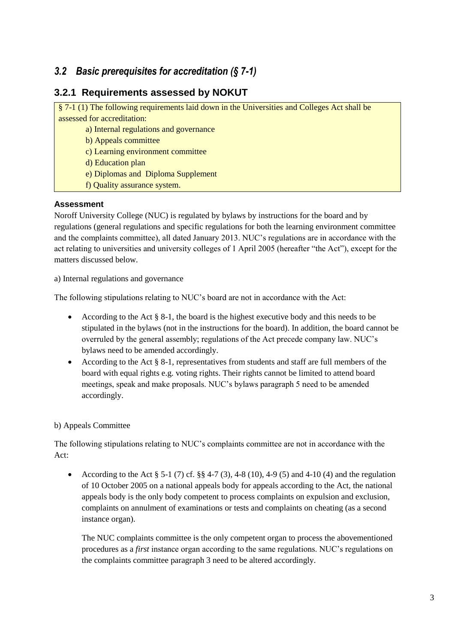# <span id="page-6-0"></span>*3.2 Basic prerequisites for accreditation (§ 7-1)*

# **3.2.1 Requirements assessed by NOKUT**

§ 7-1 (1) The following requirements laid down in the Universities and Colleges Act shall be assessed for accreditation:

a) Internal regulations and governance

b) Appeals committee

c) Learning environment committee

d) Education plan

e) Diplomas and Diploma Supplement

f) Quality assurance system.

### **Assessment**

Noroff University College (NUC) is regulated by bylaws by instructions for the board and by regulations (general regulations and specific regulations for both the learning environment committee and the complaints committee), all dated January 2013. NUC's regulations are in accordance with the act relating to universities and university colleges of 1 April 2005 (hereafter "the Act"), except for the matters discussed below.

a) Internal regulations and governance

The following stipulations relating to NUC's board are not in accordance with the Act:

- According to the Act  $\S 8-1$ , the board is the highest executive body and this needs to be stipulated in the bylaws (not in the instructions for the board). In addition, the board cannot be overruled by the general assembly; regulations of the Act precede company law. NUC's bylaws need to be amended accordingly.
- According to the Act § 8-1, representatives from students and staff are full members of the board with equal rights e.g. voting rights. Their rights cannot be limited to attend board meetings, speak and make proposals. NUC's bylaws paragraph 5 need to be amended accordingly.

### b) Appeals Committee

The following stipulations relating to NUC's complaints committee are not in accordance with the Act:

According to the Act  $\S 5-1$  (7) cf.  $\S 8$  4-7 (3), 4-8 (10), 4-9 (5) and 4-10 (4) and the regulation of 10 October 2005 on a national appeals body for appeals according to the Act, the national appeals body is the only body competent to process complaints on expulsion and exclusion, complaints on annulment of examinations or tests and complaints on cheating (as a second instance organ).

The NUC complaints committee is the only competent organ to process the abovementioned procedures as a *first* instance organ according to the same regulations. NUC's regulations on the complaints committee paragraph 3 need to be altered accordingly.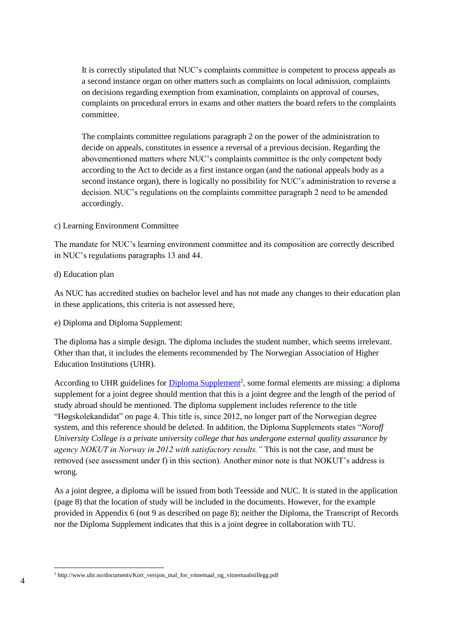It is correctly stipulated that NUC's complaints committee is competent to process appeals as a second instance organ on other matters such as complaints on local admission, complaints on decisions regarding exemption from examination, complaints on approval of courses, complaints on procedural errors in exams and other matters the board refers to the complaints committee.

The complaints committee regulations paragraph 2 on the power of the administration to decide on appeals, constitutes in essence a reversal of a previous decision. Regarding the abovementioned matters where NUC's complaints committee is the only competent body according to the Act to decide as a first instance organ (and the national appeals body as a second instance organ), there is logically no possibility for NUC's administration to reverse a decision. NUC's regulations on the complaints committee paragraph 2 need to be amended accordingly.

#### c) Learning Environment Committee

The mandate for NUC's learning environment committee and its composition are correctly described in NUC's regulations paragraphs 13 and 44.

#### d) Education plan

As NUC has accredited studies on bachelor level and has not made any changes to their education plan in these applications, this criteria is not assessed here,

e) Diploma and Diploma Supplement:

The diploma has a simple design. The diploma includes the student number, which seems irrelevant. Other than that, it includes the elements recommended by The Norwegian Association of Higher Education Institutions (UHR).

According to UHR guidelines for *Diploma Supplement<sup>2</sup>*, some formal elements are missing: a diploma supplement for a joint degree should mention that this is a joint degree and the length of the period of study abroad should be mentioned. The diploma supplement includes reference to the title "Høgskolekandidat" on page 4. This title is, since 2012, no longer part of the Norwegian degree system, and this reference should be deleted. In addition, the Diploma Supplements states "*Noroff University College is a private university college that has undergone external quality assurance by agency NOKUT in Norway in 2012 with satisfactory results."* This is not the case, and must be removed (see assessment under f) in this section). Another minor note is that NOKUT's address is wrong.

As a joint degree, a diploma will be issued from both Teesside and NUC. It is stated in the application (page 8) that the location of study will be included in the documents. However, for the example provided in Appendix 6 (not 9 as described on page 8); neither the Diploma, the Transcript of Records nor the Diploma Supplement indicates that this is a joint degree in collaboration with TU.

 $\overline{\phantom{a}}$ <sup>2</sup> http://www.uhr.no/documents/Kort\_versjon\_mal\_for\_vitnemaal\_og\_vitnemaalstillegg.pdf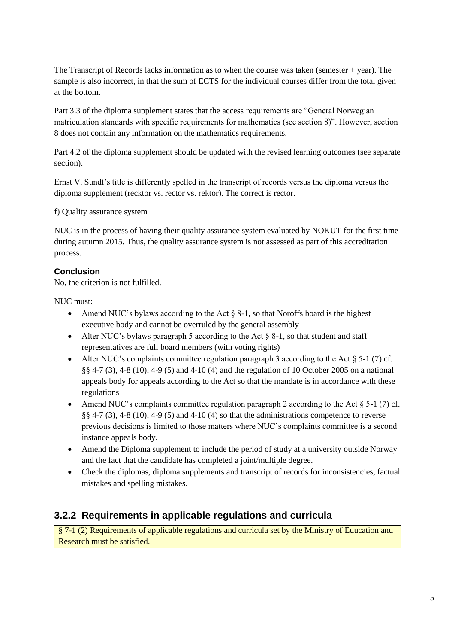The Transcript of Records lacks information as to when the course was taken (semester + year). The sample is also incorrect, in that the sum of ECTS for the individual courses differ from the total given at the bottom.

Part 3.3 of the diploma supplement states that the access requirements are "General Norwegian matriculation standards with specific requirements for mathematics (see section 8)". However, section 8 does not contain any information on the mathematics requirements.

Part 4.2 of the diploma supplement should be updated with the revised learning outcomes (see separate section).

Ernst V. Sundt's title is differently spelled in the transcript of records versus the diploma versus the diploma supplement (recktor vs. rector vs. rektor). The correct is rector.

f) Quality assurance system

NUC is in the process of having their quality assurance system evaluated by NOKUT for the first time during autumn 2015. Thus, the quality assurance system is not assessed as part of this accreditation process.

# **Conclusion**

No, the criterion is not fulfilled.

NUC must:

- Amend NUC's bylaws according to the Act  $\S$  8-1, so that Noroffs board is the highest executive body and cannot be overruled by the general assembly
- Alter NUC's bylaws paragraph 5 according to the Act  $\S 8-1$ , so that student and staff representatives are full board members (with voting rights)
- Alter NUC's complaints committee regulation paragraph 3 according to the Act  $\S$  5-1 (7) cf. §§ 4-7 (3), 4-8 (10), 4-9 (5) and 4-10 (4) and the regulation of 10 October 2005 on a national appeals body for appeals according to the Act so that the mandate is in accordance with these regulations
- Amend NUC's complaints committee regulation paragraph 2 according to the Act  $\S$  5-1 (7) cf. §§ 4-7 (3), 4-8 (10), 4-9 (5) and 4-10 (4) so that the administrations competence to reverse previous decisions is limited to those matters where NUC's complaints committee is a second instance appeals body.
- Amend the Diploma supplement to include the period of study at a university outside Norway and the fact that the candidate has completed a joint/multiple degree.
- Check the diplomas, diploma supplements and transcript of records for inconsistencies, factual mistakes and spelling mistakes.

# **3.2.2 Requirements in applicable regulations and curricula**

§ 7-1 (2) Requirements of applicable regulations and curricula set by the Ministry of Education and Research must be satisfied.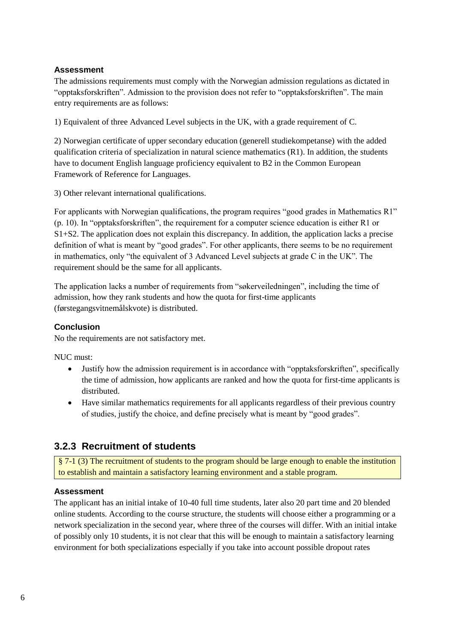The admissions requirements must comply with the Norwegian admission regulations as dictated in "opptaksforskriften". Admission to the provision does not refer to "opptaksforskriften". The main entry requirements are as follows:

1) Equivalent of three Advanced Level subjects in the UK, with a grade requirement of C.

2) Norwegian certificate of upper secondary education (generell studiekompetanse) with the added qualification criteria of specialization in natural science mathematics  $(R1)$ . In addition, the students have to document English language proficiency equivalent to B2 in the Common European Framework of Reference for Languages.

3) Other relevant international qualifications.

For applicants with Norwegian qualifications, the program requires "good grades in Mathematics R1" (p. 10). In "opptaksforskriften", the requirement for a computer science education is either R1 or S1+S2. The application does not explain this discrepancy. In addition, the application lacks a precise definition of what is meant by "good grades". For other applicants, there seems to be no requirement in mathematics, only "the equivalent of 3 Advanced Level subjects at grade C in the UK". The requirement should be the same for all applicants.

The application lacks a number of requirements from "søkerveiledningen", including the time of admission, how they rank students and how the quota for first-time applicants (førstegangsvitnemålskvote) is distributed.

### **Conclusion**

No the requirements are not satisfactory met.

NUC must:

- Justify how the admission requirement is in accordance with "opptaksforskriften", specifically the time of admission, how applicants are ranked and how the quota for first-time applicants is distributed.
- Have similar mathematics requirements for all applicants regardless of their previous country of studies, justify the choice, and define precisely what is meant by "good grades".

# **3.2.3 Recruitment of students**

§ 7-1 (3) The recruitment of students to the program should be large enough to enable the institution to establish and maintain a satisfactory learning environment and a stable program.

### **Assessment**

The applicant has an initial intake of 10-40 full time students, later also 20 part time and 20 blended online students. According to the course structure, the students will choose either a programming or a network specialization in the second year, where three of the courses will differ. With an initial intake of possibly only 10 students, it is not clear that this will be enough to maintain a satisfactory learning environment for both specializations especially if you take into account possible dropout rates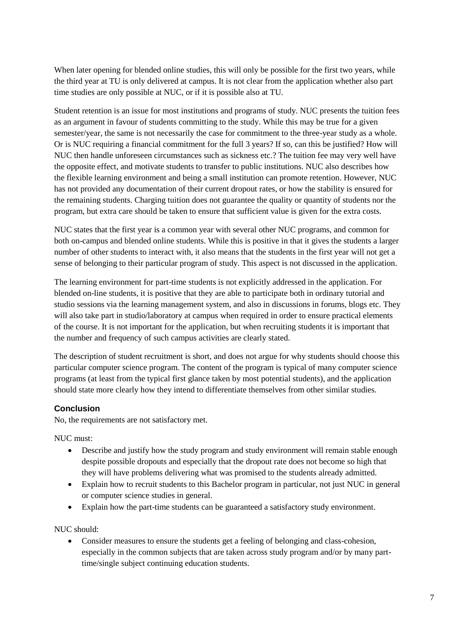When later opening for blended online studies, this will only be possible for the first two years, while the third year at TU is only delivered at campus. It is not clear from the application whether also part time studies are only possible at NUC, or if it is possible also at TU.

Student retention is an issue for most institutions and programs of study. NUC presents the tuition fees as an argument in favour of students committing to the study. While this may be true for a given semester/year, the same is not necessarily the case for commitment to the three-year study as a whole. Or is NUC requiring a financial commitment for the full 3 years? If so, can this be justified? How will NUC then handle unforeseen circumstances such as sickness etc.? The tuition fee may very well have the opposite effect, and motivate students to transfer to public institutions. NUC also describes how the flexible learning environment and being a small institution can promote retention. However, NUC has not provided any documentation of their current dropout rates, or how the stability is ensured for the remaining students. Charging tuition does not guarantee the quality or quantity of students nor the program, but extra care should be taken to ensure that sufficient value is given for the extra costs.

NUC states that the first year is a common year with several other NUC programs, and common for both on-campus and blended online students. While this is positive in that it gives the students a larger number of other students to interact with, it also means that the students in the first year will not get a sense of belonging to their particular program of study. This aspect is not discussed in the application.

The learning environment for part-time students is not explicitly addressed in the application. For blended on-line students, it is positive that they are able to participate both in ordinary tutorial and studio sessions via the learning management system, and also in discussions in forums, blogs etc. They will also take part in studio/laboratory at campus when required in order to ensure practical elements of the course. It is not important for the application, but when recruiting students it is important that the number and frequency of such campus activities are clearly stated.

The description of student recruitment is short, and does not argue for why students should choose this particular computer science program. The content of the program is typical of many computer science programs (at least from the typical first glance taken by most potential students), and the application should state more clearly how they intend to differentiate themselves from other similar studies.

### **Conclusion**

No, the requirements are not satisfactory met.

NUC must:

- Describe and justify how the study program and study environment will remain stable enough despite possible dropouts and especially that the dropout rate does not become so high that they will have problems delivering what was promised to the students already admitted.
- Explain how to recruit students to this Bachelor program in particular, not just NUC in general or computer science studies in general.
- Explain how the part-time students can be guaranteed a satisfactory study environment.

NUC should:

 Consider measures to ensure the students get a feeling of belonging and class-cohesion, especially in the common subjects that are taken across study program and/or by many parttime/single subject continuing education students.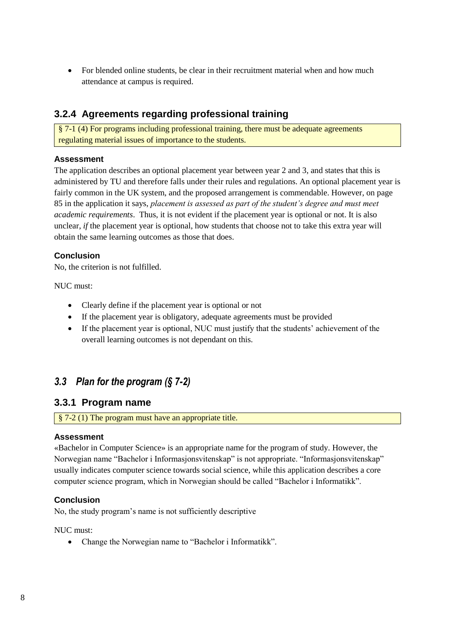For blended online students, be clear in their recruitment material when and how much attendance at campus is required.

# **3.2.4 Agreements regarding professional training**

§ 7-1 (4) For programs including professional training, there must be adequate agreements regulating material issues of importance to the students.

### **Assessment**

The application describes an optional placement year between year 2 and 3, and states that this is administered by TU and therefore falls under their rules and regulations. An optional placement year is fairly common in the UK system, and the proposed arrangement is commendable. However, on page 85 in the application it says, *placement is assessed as part of the student's degree and must meet academic requirements*. Thus, it is not evident if the placement year is optional or not. It is also unclear, *if* the placement year is optional, how students that choose not to take this extra year will obtain the same learning outcomes as those that does.

# **Conclusion**

No, the criterion is not fulfilled.

NUC must:

- Clearly define if the placement year is optional or not
- If the placement year is obligatory, adequate agreements must be provided
- If the placement year is optional, NUC must justify that the students' achievement of the overall learning outcomes is not dependant on this.

# <span id="page-11-0"></span>*3.3 Plan for the program (§ 7-2)*

# **3.3.1 Program name**

§ 7-2 (1) The program must have an appropriate title.

### **Assessment**

«Bachelor in Computer Science» is an appropriate name for the program of study. However, the Norwegian name "Bachelor i Informasjonsvitenskap" is not appropriate. "Informasjonsvitenskap" usually indicates computer science towards social science, while this application describes a core computer science program, which in Norwegian should be called "Bachelor i Informatikk".

### **Conclusion**

No, the study program's name is not sufficiently descriptive

NUC must:

Change the Norwegian name to "Bachelor i Informatikk".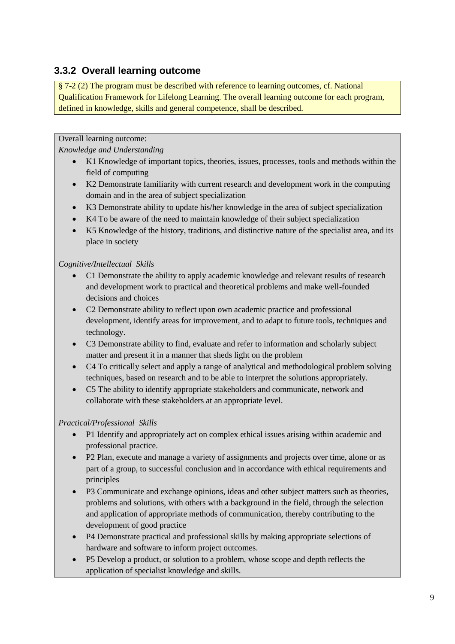# **3.3.2 Overall learning outcome**

§ 7-2 (2) The program must be described with reference to learning outcomes, cf. National Qualification Framework for Lifelong Learning. The overall learning outcome for each program, defined in knowledge, skills and general competence, shall be described.

Overall learning outcome:

*Knowledge and Understanding* 

- K1 Knowledge of important topics, theories, issues, processes, tools and methods within the field of computing
- K2 Demonstrate familiarity with current research and development work in the computing domain and in the area of subject specialization
- K3 Demonstrate ability to update his/her knowledge in the area of subject specialization
- K4 To be aware of the need to maintain knowledge of their subject specialization
- K5 Knowledge of the history, traditions, and distinctive nature of the specialist area, and its place in society

# *Cognitive/Intellectual Skills*

- C1 Demonstrate the ability to apply academic knowledge and relevant results of research and development work to practical and theoretical problems and make well-founded decisions and choices
- C2 Demonstrate ability to reflect upon own academic practice and professional development, identify areas for improvement, and to adapt to future tools, techniques and technology.
- C3 Demonstrate ability to find, evaluate and refer to information and scholarly subject matter and present it in a manner that sheds light on the problem
- C4 To critically select and apply a range of analytical and methodological problem solving techniques, based on research and to be able to interpret the solutions appropriately.
- C5 The ability to identify appropriate stakeholders and communicate, network and collaborate with these stakeholders at an appropriate level.

# *Practical/Professional Skills*

- P1 Identify and appropriately act on complex ethical issues arising within academic and professional practice.
- P2 Plan, execute and manage a variety of assignments and projects over time, alone or as part of a group, to successful conclusion and in accordance with ethical requirements and principles
- P3 Communicate and exchange opinions, ideas and other subject matters such as theories, problems and solutions, with others with a background in the field, through the selection and application of appropriate methods of communication, thereby contributing to the development of good practice
- P4 Demonstrate practical and professional skills by making appropriate selections of hardware and software to inform project outcomes.
- P5 Develop a product, or solution to a problem, whose scope and depth reflects the application of specialist knowledge and skills.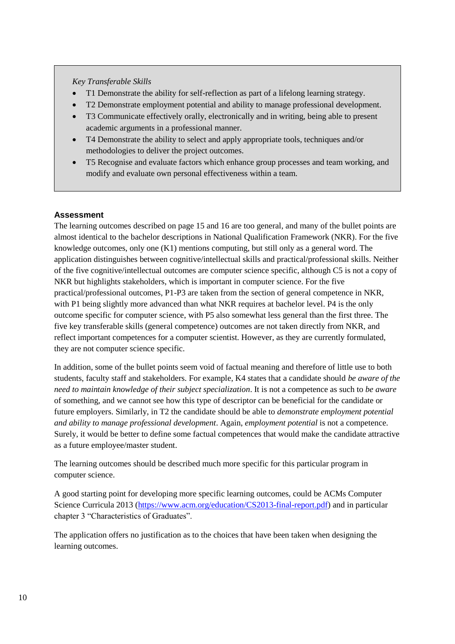#### *Key Transferable Skills*

- T1 Demonstrate the ability for self-reflection as part of a lifelong learning strategy.
- T2 Demonstrate employment potential and ability to manage professional development.
- T3 Communicate effectively orally, electronically and in writing, being able to present academic arguments in a professional manner.
- T4 Demonstrate the ability to select and apply appropriate tools, techniques and/or methodologies to deliver the project outcomes.
- T5 Recognise and evaluate factors which enhance group processes and team working, and modify and evaluate own personal effectiveness within a team.

# **Assessment**

The learning outcomes described on page 15 and 16 are too general, and many of the bullet points are almost identical to the bachelor descriptions in National Qualification Framework (NKR). For the five knowledge outcomes, only one (K1) mentions computing, but still only as a general word. The application distinguishes between cognitive/intellectual skills and practical/professional skills. Neither of the five cognitive/intellectual outcomes are computer science specific, although C5 is not a copy of NKR but highlights stakeholders, which is important in computer science. For the five practical/professional outcomes, P1-P3 are taken from the section of general competence in NKR, with P1 being slightly more advanced than what NKR requires at bachelor level. P4 is the only outcome specific for computer science, with P5 also somewhat less general than the first three. The five key transferable skills (general competence) outcomes are not taken directly from NKR, and reflect important competences for a computer scientist. However, as they are currently formulated, they are not computer science specific.

In addition, some of the bullet points seem void of factual meaning and therefore of little use to both students, faculty staff and stakeholders. For example, K4 states that a candidate should *be aware of the need to maintain knowledge of their subject specialization*. It is not a competence as such to *be aware* of something, and we cannot see how this type of descriptor can be beneficial for the candidate or future employers. Similarly, in T2 the candidate should be able to *demonstrate employment potential and ability to manage professional development*. Again, *employment potential* is not a competence. Surely, it would be better to define some factual competences that would make the candidate attractive as a future employee/master student.

The learning outcomes should be described much more specific for this particular program in computer science.

A good starting point for developing more specific learning outcomes, could be ACMs Computer Science Curricula 2013 [\(https://www.acm.org/education/CS2013-final-report.pdf\)](https://www.acm.org/education/CS2013-final-report.pdf) and in particular chapter 3 "Characteristics of Graduates".

The application offers no justification as to the choices that have been taken when designing the learning outcomes.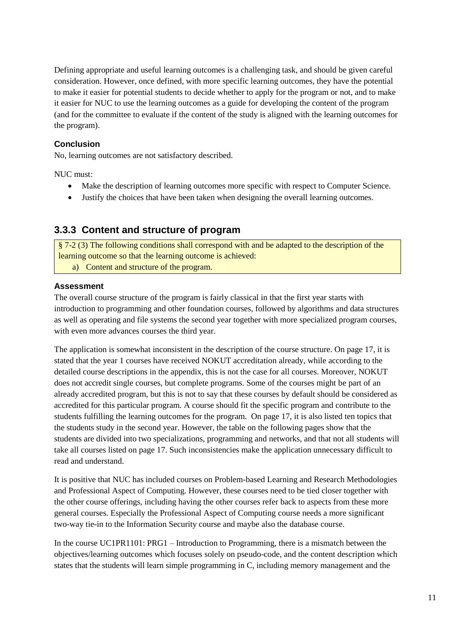Defining appropriate and useful learning outcomes is a challenging task, and should be given careful consideration. However, once defined, with more specific learning outcomes, they have the potential to make it easier for potential students to decide whether to apply for the program or not, and to make it easier for NUC to use the learning outcomes as a guide for developing the content of the program (and for the committee to evaluate if the content of the study is aligned with the learning outcomes for the program).

### **Conclusion**

No, learning outcomes are not satisfactory described.

NUC must:

- Make the description of learning outcomes more specific with respect to Computer Science.
- Justify the choices that have been taken when designing the overall learning outcomes.

# **3.3.3 Content and structure of program**

§ 7-2 (3) The following conditions shall correspond with and be adapted to the description of the learning outcome so that the learning outcome is achieved: a) Content and structure of the program.

### **Assessment**

The overall course structure of the program is fairly classical in that the first year starts with introduction to programming and other foundation courses, followed by algorithms and data structures as well as operating and file systems the second year together with more specialized program courses, with even more advances courses the third year.

The application is somewhat inconsistent in the description of the course structure. On page 17, it is stated that the year 1 courses have received NOKUT accreditation already, while according to the detailed course descriptions in the appendix, this is not the case for all courses. Moreover, NOKUT does not accredit single courses, but complete programs. Some of the courses might be part of an already accredited program, but this is not to say that these courses by default should be considered as accredited for this particular program. A course should fit the specific program and contribute to the students fulfilling the learning outcomes for the program. On page 17, it is also listed ten topics that the students study in the second year. However, the table on the following pages show that the students are divided into two specializations, programming and networks, and that not all students will take all courses listed on page 17. Such inconsistencies make the application unnecessary difficult to read and understand.

It is positive that NUC has included courses on Problem-based Learning and Research Methodologies and Professional Aspect of Computing. However, these courses need to be tied closer together with the other course offerings, including having the other courses refer back to aspects from these more general courses. Especially the Professional Aspect of Computing course needs a more significant two-way tie-in to the Information Security course and maybe also the database course.

In the course UC1PR1101: PRG1 – Introduction to Programming, there is a mismatch between the objectives/learning outcomes which focuses solely on pseudo-code, and the content description which states that the students will learn simple programming in C, including memory management and the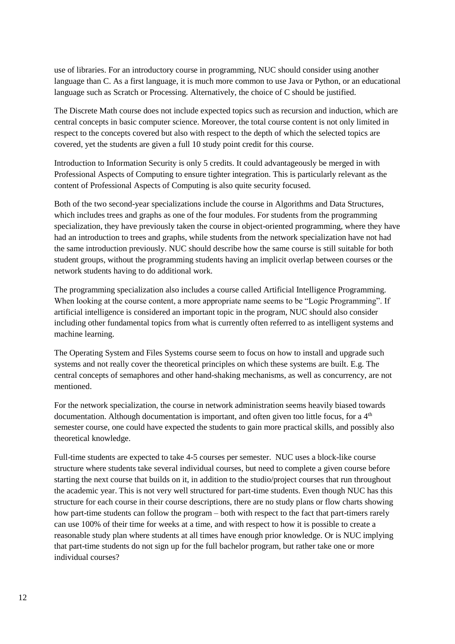use of libraries. For an introductory course in programming, NUC should consider using another language than C. As a first language, it is much more common to use Java or Python, or an educational language such as Scratch or Processing. Alternatively, the choice of C should be justified.

The Discrete Math course does not include expected topics such as recursion and induction, which are central concepts in basic computer science. Moreover, the total course content is not only limited in respect to the concepts covered but also with respect to the depth of which the selected topics are covered, yet the students are given a full 10 study point credit for this course.

Introduction to Information Security is only 5 credits. It could advantageously be merged in with Professional Aspects of Computing to ensure tighter integration. This is particularly relevant as the content of Professional Aspects of Computing is also quite security focused.

Both of the two second-year specializations include the course in Algorithms and Data Structures, which includes trees and graphs as one of the four modules. For students from the programming specialization, they have previously taken the course in object-oriented programming, where they have had an introduction to trees and graphs, while students from the network specialization have not had the same introduction previously. NUC should describe how the same course is still suitable for both student groups, without the programming students having an implicit overlap between courses or the network students having to do additional work.

The programming specialization also includes a course called Artificial Intelligence Programming. When looking at the course content, a more appropriate name seems to be "Logic Programming". If artificial intelligence is considered an important topic in the program, NUC should also consider including other fundamental topics from what is currently often referred to as intelligent systems and machine learning.

The Operating System and Files Systems course seem to focus on how to install and upgrade such systems and not really cover the theoretical principles on which these systems are built. E.g. The central concepts of semaphores and other hand-shaking mechanisms, as well as concurrency, are not mentioned.

For the network specialization, the course in network administration seems heavily biased towards documentation. Although documentation is important, and often given too little focus, for a  $4<sup>th</sup>$ semester course, one could have expected the students to gain more practical skills, and possibly also theoretical knowledge.

Full-time students are expected to take 4-5 courses per semester. NUC uses a block-like course structure where students take several individual courses, but need to complete a given course before starting the next course that builds on it, in addition to the studio/project courses that run throughout the academic year. This is not very well structured for part-time students. Even though NUC has this structure for each course in their course descriptions, there are no study plans or flow charts showing how part-time students can follow the program – both with respect to the fact that part-timers rarely can use 100% of their time for weeks at a time, and with respect to how it is possible to create a reasonable study plan where students at all times have enough prior knowledge. Or is NUC implying that part-time students do not sign up for the full bachelor program, but rather take one or more individual courses?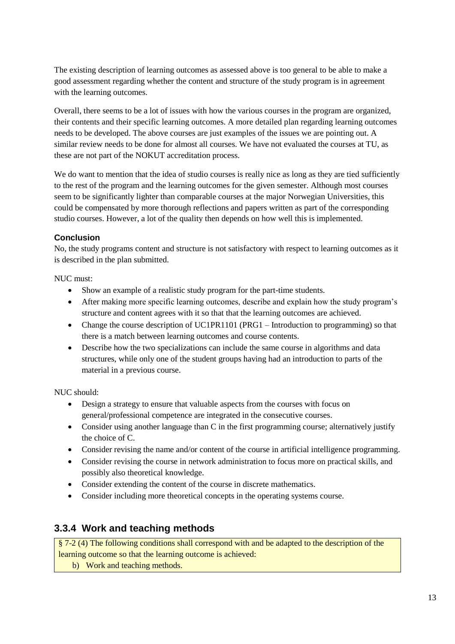The existing description of learning outcomes as assessed above is too general to be able to make a good assessment regarding whether the content and structure of the study program is in agreement with the learning outcomes.

Overall, there seems to be a lot of issues with how the various courses in the program are organized, their contents and their specific learning outcomes. A more detailed plan regarding learning outcomes needs to be developed. The above courses are just examples of the issues we are pointing out. A similar review needs to be done for almost all courses. We have not evaluated the courses at TU, as these are not part of the NOKUT accreditation process.

We do want to mention that the idea of studio courses is really nice as long as they are tied sufficiently to the rest of the program and the learning outcomes for the given semester. Although most courses seem to be significantly lighter than comparable courses at the major Norwegian Universities, this could be compensated by more thorough reflections and papers written as part of the corresponding studio courses. However, a lot of the quality then depends on how well this is implemented.

# **Conclusion**

No, the study programs content and structure is not satisfactory with respect to learning outcomes as it is described in the plan submitted.

NUC must:

- Show an example of a realistic study program for the part-time students.
- After making more specific learning outcomes, describe and explain how the study program's structure and content agrees with it so that that the learning outcomes are achieved.
- Change the course description of UC1PR1101 (PRG1 Introduction to programming) so that there is a match between learning outcomes and course contents.
- Describe how the two specializations can include the same course in algorithms and data structures, while only one of the student groups having had an introduction to parts of the material in a previous course.

NUC should:

- Design a strategy to ensure that valuable aspects from the courses with focus on general/professional competence are integrated in the consecutive courses.
- Consider using another language than C in the first programming course; alternatively justify the choice of C.
- Consider revising the name and/or content of the course in artificial intelligence programming.
- Consider revising the course in network administration to focus more on practical skills, and possibly also theoretical knowledge.
- Consider extending the content of the course in discrete mathematics.
- Consider including more theoretical concepts in the operating systems course.

# **3.3.4 Work and teaching methods**

§ 7-2 (4) The following conditions shall correspond with and be adapted to the description of the learning outcome so that the learning outcome is achieved:

b) Work and teaching methods.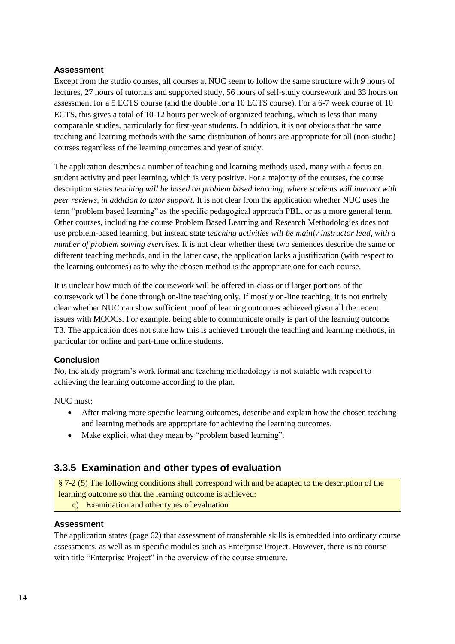Except from the studio courses, all courses at NUC seem to follow the same structure with 9 hours of lectures, 27 hours of tutorials and supported study, 56 hours of self-study coursework and 33 hours on assessment for a 5 ECTS course (and the double for a 10 ECTS course). For a 6-7 week course of 10 ECTS, this gives a total of 10-12 hours per week of organized teaching, which is less than many comparable studies, particularly for first-year students. In addition, it is not obvious that the same teaching and learning methods with the same distribution of hours are appropriate for all (non-studio) courses regardless of the learning outcomes and year of study.

The application describes a number of teaching and learning methods used, many with a focus on student activity and peer learning, which is very positive. For a majority of the courses, the course description states *teaching will be based on problem based learning, where students will interact with peer reviews, in addition to tutor support*. It is not clear from the application whether NUC uses the term "problem based learning" as the specific pedagogical approach PBL, or as a more general term. Other courses, including the course Problem Based Learning and Research Methodologies does not use problem-based learning, but instead state *teaching activities will be mainly instructor lead, with a number of problem solving exercises.* It is not clear whether these two sentences describe the same or different teaching methods, and in the latter case, the application lacks a justification (with respect to the learning outcomes) as to why the chosen method is the appropriate one for each course.

It is unclear how much of the coursework will be offered in-class or if larger portions of the coursework will be done through on-line teaching only. If mostly on-line teaching, it is not entirely clear whether NUC can show sufficient proof of learning outcomes achieved given all the recent issues with MOOCs. For example, being able to communicate orally is part of the learning outcome T3. The application does not state how this is achieved through the teaching and learning methods, in particular for online and part-time online students.

### **Conclusion**

No, the study program's work format and teaching methodology is not suitable with respect to achieving the learning outcome according to the plan.

NUC must:

- After making more specific learning outcomes, describe and explain how the chosen teaching and learning methods are appropriate for achieving the learning outcomes.
- Make explicit what they mean by "problem based learning".

# **3.3.5 Examination and other types of evaluation**

§ 7-2 (5) The following conditions shall correspond with and be adapted to the description of the learning outcome so that the learning outcome is achieved:

c) Examination and other types of evaluation

### **Assessment**

The application states (page 62) that assessment of transferable skills is embedded into ordinary course assessments, as well as in specific modules such as Enterprise Project. However, there is no course with title "Enterprise Project" in the overview of the course structure.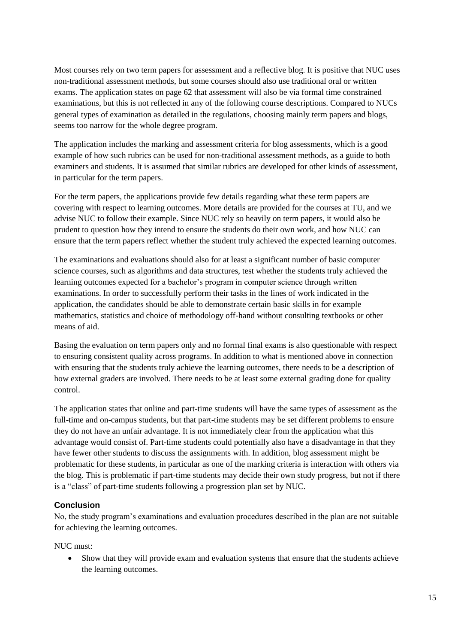Most courses rely on two term papers for assessment and a reflective blog. It is positive that NUC uses non-traditional assessment methods, but some courses should also use traditional oral or written exams. The application states on page 62 that assessment will also be via formal time constrained examinations, but this is not reflected in any of the following course descriptions. Compared to NUCs general types of examination as detailed in the regulations, choosing mainly term papers and blogs, seems too narrow for the whole degree program.

The application includes the marking and assessment criteria for blog assessments, which is a good example of how such rubrics can be used for non-traditional assessment methods, as a guide to both examiners and students. It is assumed that similar rubrics are developed for other kinds of assessment, in particular for the term papers.

For the term papers, the applications provide few details regarding what these term papers are covering with respect to learning outcomes. More details are provided for the courses at TU, and we advise NUC to follow their example. Since NUC rely so heavily on term papers, it would also be prudent to question how they intend to ensure the students do their own work, and how NUC can ensure that the term papers reflect whether the student truly achieved the expected learning outcomes.

The examinations and evaluations should also for at least a significant number of basic computer science courses, such as algorithms and data structures, test whether the students truly achieved the learning outcomes expected for a bachelor's program in computer science through written examinations. In order to successfully perform their tasks in the lines of work indicated in the application, the candidates should be able to demonstrate certain basic skills in for example mathematics, statistics and choice of methodology off-hand without consulting textbooks or other means of aid.

Basing the evaluation on term papers only and no formal final exams is also questionable with respect to ensuring consistent quality across programs. In addition to what is mentioned above in connection with ensuring that the students truly achieve the learning outcomes, there needs to be a description of how external graders are involved. There needs to be at least some external grading done for quality control.

The application states that online and part-time students will have the same types of assessment as the full-time and on-campus students, but that part-time students may be set different problems to ensure they do not have an unfair advantage. It is not immediately clear from the application what this advantage would consist of. Part-time students could potentially also have a disadvantage in that they have fewer other students to discuss the assignments with. In addition, blog assessment might be problematic for these students, in particular as one of the marking criteria is interaction with others via the blog. This is problematic if part-time students may decide their own study progress, but not if there is a "class" of part-time students following a progression plan set by NUC.

### **Conclusion**

No, the study program's examinations and evaluation procedures described in the plan are not suitable for achieving the learning outcomes.

NUC must:

 Show that they will provide exam and evaluation systems that ensure that the students achieve the learning outcomes.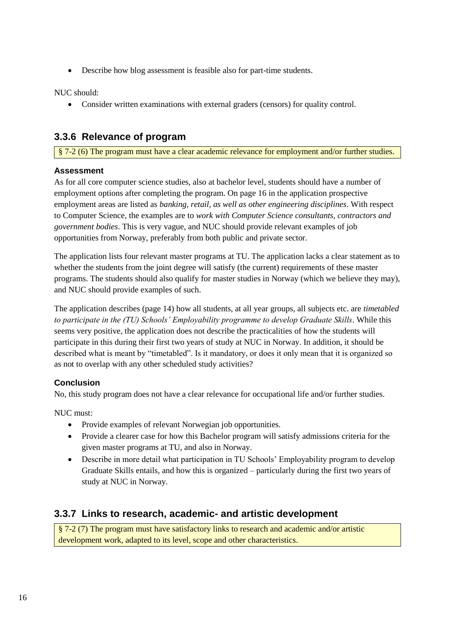Describe how blog assessment is feasible also for part-time students.

NUC should:

Consider written examinations with external graders (censors) for quality control.

# **3.3.6 Relevance of program**

§ 7-2 (6) The program must have a clear academic relevance for employment and/or further studies.

# **Assessment**

As for all core computer science studies, also at bachelor level, students should have a number of employment options after completing the program. On page 16 in the application prospective employment areas are listed as *banking, retail, as well as other engineering disciplines*. With respect to Computer Science, the examples are to *work with Computer Science consultants, contractors and government bodies*. This is very vague, and NUC should provide relevant examples of job opportunities from Norway, preferably from both public and private sector.

The application lists four relevant master programs at TU. The application lacks a clear statement as to whether the students from the joint degree will satisfy (the current) requirements of these master programs. The students should also qualify for master studies in Norway (which we believe they may), and NUC should provide examples of such.

The application describes (page 14) how all students, at all year groups, all subjects etc. are *timetabled to participate in the (TU) Schools' Employability programme to develop Graduate Skills*. While this seems very positive, the application does not describe the practicalities of how the students will participate in this during their first two years of study at NUC in Norway. In addition, it should be described what is meant by "timetabled". Is it mandatory, or does it only mean that it is organized so as not to overlap with any other scheduled study activities?

# **Conclusion**

No, this study program does not have a clear relevance for occupational life and/or further studies.

NUC must:

- Provide examples of relevant Norwegian job opportunities.
- Provide a clearer case for how this Bachelor program will satisfy admissions criteria for the given master programs at TU, and also in Norway.
- Describe in more detail what participation in TU Schools' Employability program to develop Graduate Skills entails, and how this is organized – particularly during the first two years of study at NUC in Norway.

# **3.3.7 Links to research, academic- and artistic development**

§ 7-2 (7) The program must have satisfactory links to research and academic and/or artistic development work, adapted to its level, scope and other characteristics.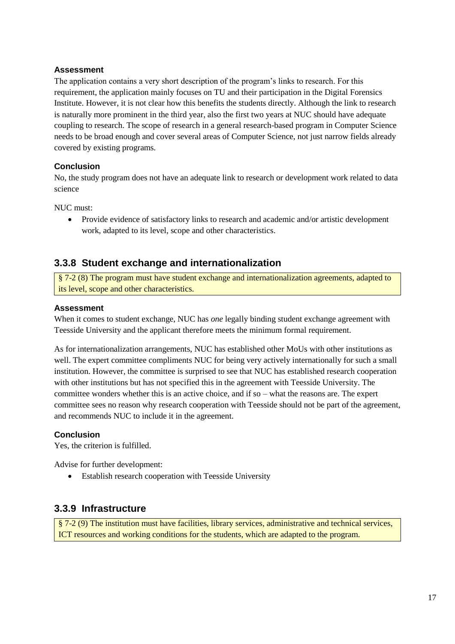The application contains a very short description of the program's links to research. For this requirement, the application mainly focuses on TU and their participation in the Digital Forensics Institute. However, it is not clear how this benefits the students directly. Although the link to research is naturally more prominent in the third year, also the first two years at NUC should have adequate coupling to research. The scope of research in a general research-based program in Computer Science needs to be broad enough and cover several areas of Computer Science, not just narrow fields already covered by existing programs.

# **Conclusion**

No, the study program does not have an adequate link to research or development work related to data science

NUC must:

 Provide evidence of satisfactory links to research and academic and/or artistic development work, adapted to its level, scope and other characteristics.

# **3.3.8 Student exchange and internationalization**

§ 7-2 (8) The program must have student exchange and internationalization agreements, adapted to its level, scope and other characteristics.

### **Assessment**

When it comes to student exchange, NUC has *one* legally binding student exchange agreement with Teesside University and the applicant therefore meets the minimum formal requirement.

As for internationalization arrangements, NUC has established other MoUs with other institutions as well. The expert committee compliments NUC for being very actively internationally for such a small institution. However, the committee is surprised to see that NUC has established research cooperation with other institutions but has not specified this in the agreement with Teesside University. The committee wonders whether this is an active choice, and if so – what the reasons are. The expert committee sees no reason why research cooperation with Teesside should not be part of the agreement, and recommends NUC to include it in the agreement.

### **Conclusion**

Yes, the criterion is fulfilled.

Advise for further development:

Establish research cooperation with Teesside University

# **3.3.9 Infrastructure**

§ 7-2 (9) The institution must have facilities, library services, administrative and technical services, ICT resources and working conditions for the students, which are adapted to the program.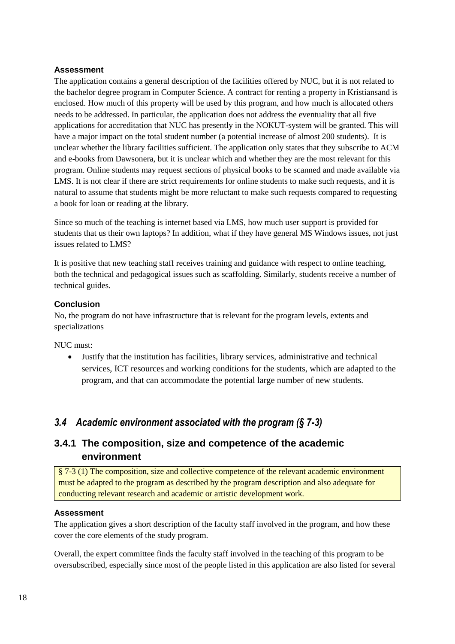The application contains a general description of the facilities offered by NUC, but it is not related to the bachelor degree program in Computer Science. A contract for renting a property in Kristiansand is enclosed. How much of this property will be used by this program, and how much is allocated others needs to be addressed. In particular, the application does not address the eventuality that all five applications for accreditation that NUC has presently in the NOKUT-system will be granted. This will have a major impact on the total student number (a potential increase of almost 200 students). It is unclear whether the library facilities sufficient. The application only states that they subscribe to ACM and e-books from Dawsonera, but it is unclear which and whether they are the most relevant for this program. Online students may request sections of physical books to be scanned and made available via LMS. It is not clear if there are strict requirements for online students to make such requests, and it is natural to assume that students might be more reluctant to make such requests compared to requesting a book for loan or reading at the library.

Since so much of the teaching is internet based via LMS, how much user support is provided for students that us their own laptops? In addition, what if they have general MS Windows issues, not just issues related to LMS?

It is positive that new teaching staff receives training and guidance with respect to online teaching, both the technical and pedagogical issues such as scaffolding. Similarly, students receive a number of technical guides.

# **Conclusion**

No, the program do not have infrastructure that is relevant for the program levels, extents and specializations

NUC must:

 Justify that the institution has facilities, library services, administrative and technical services, ICT resources and working conditions for the students, which are adapted to the program, and that can accommodate the potential large number of new students.

# <span id="page-21-0"></span>*3.4 Academic environment associated with the program (§ 7-3)*

# **3.4.1 The composition, size and competence of the academic environment**

§ 7-3 (1) The composition, size and collective competence of the relevant academic environment must be adapted to the program as described by the program description and also adequate for conducting relevant research and academic or artistic development work.

### **Assessment**

The application gives a short description of the faculty staff involved in the program, and how these cover the core elements of the study program.

Overall, the expert committee finds the faculty staff involved in the teaching of this program to be oversubscribed, especially since most of the people listed in this application are also listed for several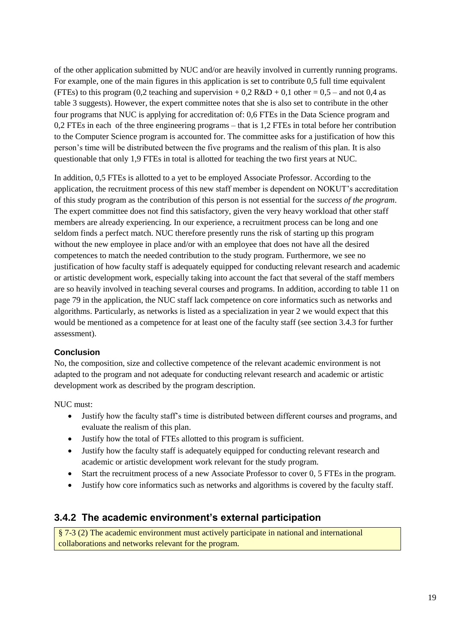of the other application submitted by NUC and/or are heavily involved in currently running programs. For example, one of the main figures in this application is set to contribute 0,5 full time equivalent (FTEs) to this program (0,2 teaching and supervision  $+$  0,2 R&D  $+$  0,1 other = 0,5 – and not 0,4 as table 3 suggests). However, the expert committee notes that she is also set to contribute in the other four programs that NUC is applying for accreditation of: 0,6 FTEs in the Data Science program and 0,2 FTEs in each of the three engineering programs – that is 1,2 FTEs in total before her contribution to the Computer Science program is accounted for. The committee asks for a justification of how this person's time will be distributed between the five programs and the realism of this plan. It is also questionable that only 1,9 FTEs in total is allotted for teaching the two first years at NUC.

In addition, 0,5 FTEs is allotted to a yet to be employed Associate Professor. According to the application, the recruitment process of this new staff member is dependent on NOKUT's accreditation of this study program as the contribution of this person is not essential for the *success of the program*. The expert committee does not find this satisfactory, given the very heavy workload that other staff members are already experiencing. In our experience, a recruitment process can be long and one seldom finds a perfect match. NUC therefore presently runs the risk of starting up this program without the new employee in place and/or with an employee that does not have all the desired competences to match the needed contribution to the study program. Furthermore, we see no justification of how faculty staff is adequately equipped for conducting relevant research and academic or artistic development work, especially taking into account the fact that several of the staff members are so heavily involved in teaching several courses and programs. In addition, according to table 11 on page 79 in the application, the NUC staff lack competence on core informatics such as networks and algorithms. Particularly, as networks is listed as a specialization in year 2 we would expect that this would be mentioned as a competence for at least one of the faculty staff (see section 3.4.3 for further assessment).

### **Conclusion**

No, the composition, size and collective competence of the relevant academic environment is not adapted to the program and not adequate for conducting relevant research and academic or artistic development work as described by the program description.

NUC must:

- Justify how the faculty staff's time is distributed between different courses and programs, and evaluate the realism of this plan.
- Justify how the total of FTEs allotted to this program is sufficient.
- Justify how the faculty staff is adequately equipped for conducting relevant research and academic or artistic development work relevant for the study program.
- Start the recruitment process of a new Associate Professor to cover 0, 5 FTEs in the program.
- Justify how core informatics such as networks and algorithms is covered by the faculty staff.

# **3.4.2 The academic environment's external participation**

§ 7-3 (2) The academic environment must actively participate in national and international collaborations and networks relevant for the program.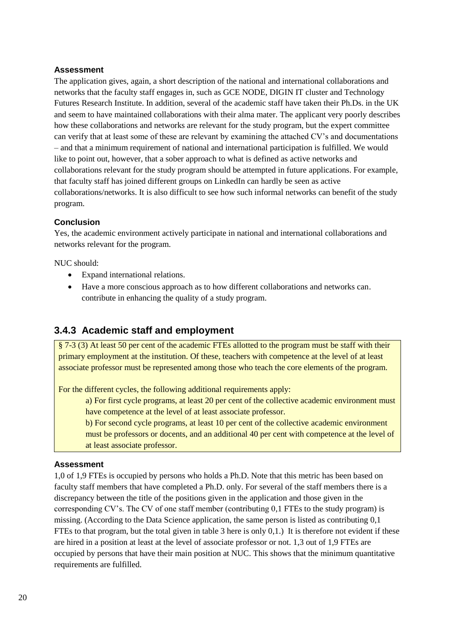The application gives, again, a short description of the national and international collaborations and networks that the faculty staff engages in, such as GCE NODE, DIGIN IT cluster and Technology Futures Research Institute. In addition, several of the academic staff have taken their Ph.Ds. in the UK and seem to have maintained collaborations with their alma mater. The applicant very poorly describes how these collaborations and networks are relevant for the study program, but the expert committee can verify that at least some of these are relevant by examining the attached CV's and documentations – and that a minimum requirement of national and international participation is fulfilled. We would like to point out, however, that a sober approach to what is defined as active networks and collaborations relevant for the study program should be attempted in future applications. For example, that faculty staff has joined different groups on LinkedIn can hardly be seen as active collaborations/networks. It is also difficult to see how such informal networks can benefit of the study program.

# **Conclusion**

Yes, the academic environment actively participate in national and international collaborations and networks relevant for the program.

NUC should:

- Expand international relations.
- Have a more conscious approach as to how different collaborations and networks can. contribute in enhancing the quality of a study program.

# **3.4.3 Academic staff and employment**

§ 7-3 (3) At least 50 per cent of the academic FTEs allotted to the program must be staff with their primary employment at the institution. Of these, teachers with competence at the level of at least associate professor must be represented among those who teach the core elements of the program.

For the different cycles, the following additional requirements apply:

a) For first cycle programs, at least 20 per cent of the collective academic environment must have competence at the level of at least associate professor.

b) For second cycle programs, at least 10 per cent of the collective academic environment must be professors or docents, and an additional 40 per cent with competence at the level of at least associate professor.

### **Assessment**

1,0 of 1,9 FTEs is occupied by persons who holds a Ph.D. Note that this metric has been based on faculty staff members that have completed a Ph.D. only. For several of the staff members there is a discrepancy between the title of the positions given in the application and those given in the corresponding CV's. The CV of one staff member (contributing 0,1 FTEs to the study program) is missing. (According to the Data Science application, the same person is listed as contributing 0,1 FTEs to that program, but the total given in table 3 here is only 0,1.) It is therefore not evident if these are hired in a position at least at the level of associate professor or not. 1,3 out of 1,9 FTEs are occupied by persons that have their main position at NUC. This shows that the minimum quantitative requirements are fulfilled.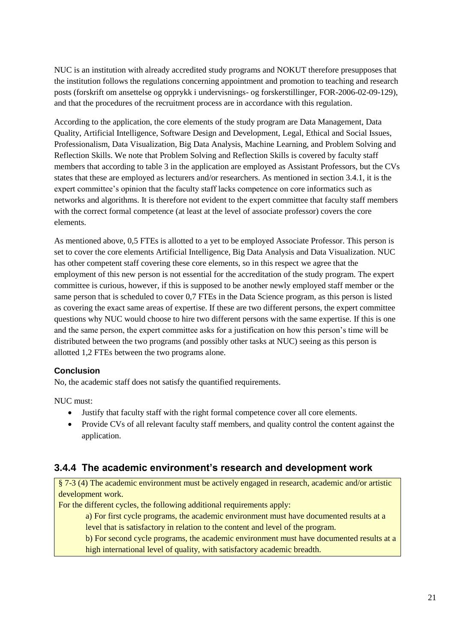NUC is an institution with already accredited study programs and NOKUT therefore presupposes that the institution follows the regulations concerning appointment and promotion to teaching and research posts (forskrift om ansettelse og opprykk i undervisnings- og forskerstillinger, FOR-2006-02-09-129), and that the procedures of the recruitment process are in accordance with this regulation.

According to the application, the core elements of the study program are Data Management, Data Quality, Artificial Intelligence, Software Design and Development, Legal, Ethical and Social Issues, Professionalism, Data Visualization, Big Data Analysis, Machine Learning, and Problem Solving and Reflection Skills. We note that Problem Solving and Reflection Skills is covered by faculty staff members that according to table 3 in the application are employed as Assistant Professors, but the CVs states that these are employed as lecturers and/or researchers. As mentioned in section 3.4.1, it is the expert committee's opinion that the faculty staff lacks competence on core informatics such as networks and algorithms. It is therefore not evident to the expert committee that faculty staff members with the correct formal competence (at least at the level of associate professor) covers the core elements.

As mentioned above, 0,5 FTEs is allotted to a yet to be employed Associate Professor. This person is set to cover the core elements Artificial Intelligence, Big Data Analysis and Data Visualization. NUC has other competent staff covering these core elements, so in this respect we agree that the employment of this new person is not essential for the accreditation of the study program. The expert committee is curious, however, if this is supposed to be another newly employed staff member or the same person that is scheduled to cover 0,7 FTEs in the Data Science program, as this person is listed as covering the exact same areas of expertise. If these are two different persons, the expert committee questions why NUC would choose to hire two different persons with the same expertise. If this is one and the same person, the expert committee asks for a justification on how this person's time will be distributed between the two programs (and possibly other tasks at NUC) seeing as this person is allotted 1,2 FTEs between the two programs alone.

# **Conclusion**

No, the academic staff does not satisfy the quantified requirements.

NUC must:

- Justify that faculty staff with the right formal competence cover all core elements.
- Provide CVs of all relevant faculty staff members, and quality control the content against the application.

# **3.4.4 The academic environment's research and development work**

§ 7-3 (4) The academic environment must be actively engaged in research, academic and/or artistic development work.

For the different cycles, the following additional requirements apply:

a) For first cycle programs, the academic environment must have documented results at a level that is satisfactory in relation to the content and level of the program.

b) For second cycle programs, the academic environment must have documented results at a high international level of quality, with satisfactory academic breadth.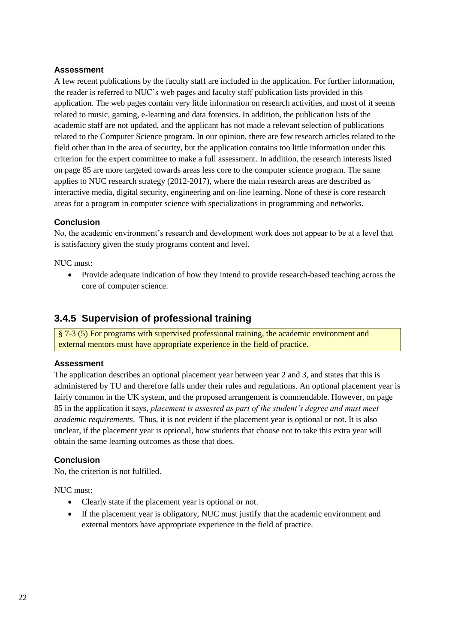A few recent publications by the faculty staff are included in the application. For further information, the reader is referred to NUC's web pages and faculty staff publication lists provided in this application. The web pages contain very little information on research activities, and most of it seems related to music, gaming, e-learning and data forensics. In addition, the publication lists of the academic staff are not updated, and the applicant has not made a relevant selection of publications related to the Computer Science program. In our opinion, there are few research articles related to the field other than in the area of security, but the application contains too little information under this criterion for the expert committee to make a full assessment. In addition, the research interests listed on page 85 are more targeted towards areas less core to the computer science program. The same applies to NUC research strategy (2012-2017), where the main research areas are described as interactive media, digital security, engineering and on-line learning. None of these is core research areas for a program in computer science with specializations in programming and networks.

# **Conclusion**

No, the academic environment's research and development work does not appear to be at a level that is satisfactory given the study programs content and level.

NUC must:

 Provide adequate indication of how they intend to provide research-based teaching across the core of computer science.

# **3.4.5 Supervision of professional training**

§ 7-3 (5) For programs with supervised professional training, the academic environment and external mentors must have appropriate experience in the field of practice.

### **Assessment**

The application describes an optional placement year between year 2 and 3, and states that this is administered by TU and therefore falls under their rules and regulations. An optional placement year is fairly common in the UK system, and the proposed arrangement is commendable. However, on page 85 in the application it says, *placement is assessed as part of the student's degree and must meet academic requirements*. Thus, it is not evident if the placement year is optional or not. It is also unclear, if the placement year is optional, how students that choose not to take this extra year will obtain the same learning outcomes as those that does.

### **Conclusion**

No, the criterion is not fulfilled.

NUC must:

- Clearly state if the placement year is optional or not.
- If the placement year is obligatory, NUC must justify that the academic environment and external mentors have appropriate experience in the field of practice.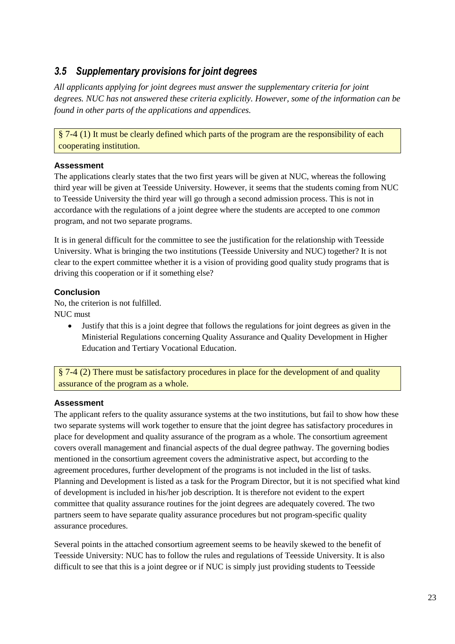# <span id="page-26-0"></span>*3.5 Supplementary provisions for joint degrees*

*All applicants applying for joint degrees must answer the supplementary criteria for joint degrees. NUC has not answered these criteria explicitly. However, some of the information can be found in other parts of the applications and appendices.* 

§ 7-4 (1) It must be clearly defined which parts of the program are the responsibility of each cooperating institution.

# **Assessment**

The applications clearly states that the two first years will be given at NUC, whereas the following third year will be given at Teesside University. However, it seems that the students coming from NUC to Teesside University the third year will go through a second admission process. This is not in accordance with the regulations of a joint degree where the students are accepted to one *common* program, and not two separate programs.

It is in general difficult for the committee to see the justification for the relationship with Teesside University. What is bringing the two institutions (Teesside University and NUC) together? It is not clear to the expert committee whether it is a vision of providing good quality study programs that is driving this cooperation or if it something else?

# **Conclusion**

No, the criterion is not fulfilled. NUC must

> Justify that this is a joint degree that follows the regulations for joint degrees as given in the Ministerial Regulations concerning Quality Assurance and Quality Development in Higher Education and Tertiary Vocational Education.

§ 7-4 (2) There must be satisfactory procedures in place for the development of and quality assurance of the program as a whole.

# **Assessment**

The applicant refers to the quality assurance systems at the two institutions, but fail to show how these two separate systems will work together to ensure that the joint degree has satisfactory procedures in place for development and quality assurance of the program as a whole. The consortium agreement covers overall management and financial aspects of the dual degree pathway. The governing bodies mentioned in the consortium agreement covers the administrative aspect, but according to the agreement procedures, further development of the programs is not included in the list of tasks. Planning and Development is listed as a task for the Program Director, but it is not specified what kind of development is included in his/her job description. It is therefore not evident to the expert committee that quality assurance routines for the joint degrees are adequately covered. The two partners seem to have separate quality assurance procedures but not program-specific quality assurance procedures.

Several points in the attached consortium agreement seems to be heavily skewed to the benefit of Teesside University: NUC has to follow the rules and regulations of Teesside University. It is also difficult to see that this is a joint degree or if NUC is simply just providing students to Teesside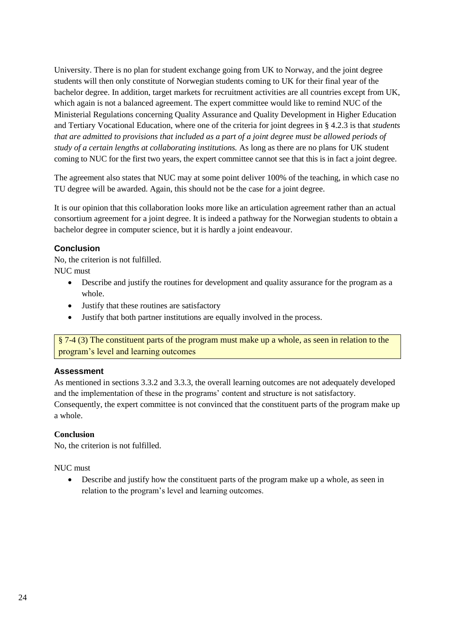University. There is no plan for student exchange going from UK to Norway, and the joint degree students will then only constitute of Norwegian students coming to UK for their final year of the bachelor degree. In addition, target markets for recruitment activities are all countries except from UK, which again is not a balanced agreement. The expert committee would like to remind NUC of the Ministerial Regulations concerning Quality Assurance and Quality Development in Higher Education and Tertiary Vocational Education, where one of the criteria for joint degrees in § 4.2.3 is that *students that are admitted to provisions that included as a part of a joint degree must be allowed periods of study of a certain lengths at collaborating institutions.* As long as there are no plans for UK student coming to NUC for the first two years, the expert committee cannot see that this is in fact a joint degree.

The agreement also states that NUC may at some point deliver 100% of the teaching, in which case no TU degree will be awarded. Again, this should not be the case for a joint degree.

It is our opinion that this collaboration looks more like an articulation agreement rather than an actual consortium agreement for a joint degree. It is indeed a pathway for the Norwegian students to obtain a bachelor degree in computer science, but it is hardly a joint endeavour.

#### **Conclusion**

No, the criterion is not fulfilled. NUC must

- Describe and justify the routines for development and quality assurance for the program as a whole.
- Justify that these routines are satisfactory
- Justify that both partner institutions are equally involved in the process.

§ 7-4 (3) The constituent parts of the program must make up a whole, as seen in relation to the program's level and learning outcomes

### **Assessment**

As mentioned in sections 3.3.2 and 3.3.3, the overall learning outcomes are not adequately developed and the implementation of these in the programs' content and structure is not satisfactory. Consequently, the expert committee is not convinced that the constituent parts of the program make up a whole.

### **Conclusion**

No, the criterion is not fulfilled.

### NUC must

 Describe and justify how the constituent parts of the program make up a whole, as seen in relation to the program's level and learning outcomes.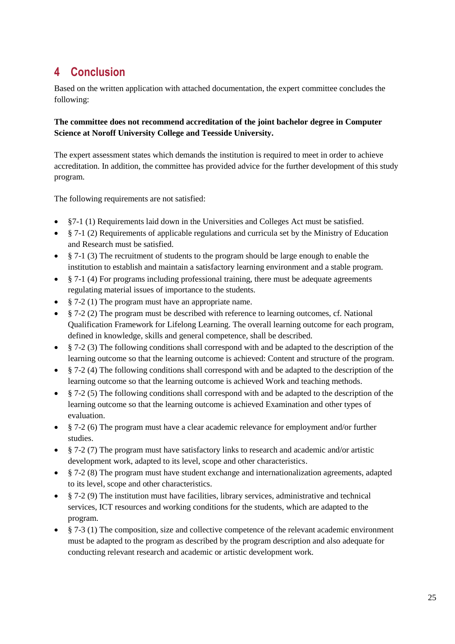# <span id="page-28-0"></span>**4 Conclusion**

Based on the written application with attached documentation, the expert committee concludes the following:

# **The committee does not recommend accreditation of the joint bachelor degree in Computer Science at Noroff University College and Teesside University.**

The expert assessment states which demands the institution is required to meet in order to achieve accreditation. In addition, the committee has provided advice for the further development of this study program.

The following requirements are not satisfied:

- §7-1 (1) Requirements laid down in the Universities and Colleges Act must be satisfied.
- $\frac{8}{7}$ -1 (2) Requirements of applicable regulations and curricula set by the Ministry of Education and Research must be satisfied.
- § 7-1 (3) The recruitment of students to the program should be large enough to enable the institution to establish and maintain a satisfactory learning environment and a stable program.
- $§$  7-1 (4) For programs including professional training, there must be adequate agreements regulating material issues of importance to the students.
- § 7-2 (1) The program must have an appropriate name.
- § 7-2 (2) The program must be described with reference to learning outcomes, cf. National Qualification Framework for Lifelong Learning. The overall learning outcome for each program, defined in knowledge, skills and general competence, shall be described.
- § 7-2 (3) The following conditions shall correspond with and be adapted to the description of the learning outcome so that the learning outcome is achieved: Content and structure of the program.
- § 7-2 (4) The following conditions shall correspond with and be adapted to the description of the learning outcome so that the learning outcome is achieved Work and teaching methods.
- § 7-2 (5) The following conditions shall correspond with and be adapted to the description of the learning outcome so that the learning outcome is achieved Examination and other types of evaluation.
- § 7-2 (6) The program must have a clear academic relevance for employment and/or further studies.
- § 7-2 (7) The program must have satisfactory links to research and academic and/or artistic development work, adapted to its level, scope and other characteristics.
- § 7-2 (8) The program must have student exchange and internationalization agreements, adapted to its level, scope and other characteristics.
- $§$  7-2 (9) The institution must have facilities, library services, administrative and technical services, ICT resources and working conditions for the students, which are adapted to the program.
- § 7-3 (1) The composition, size and collective competence of the relevant academic environment must be adapted to the program as described by the program description and also adequate for conducting relevant research and academic or artistic development work.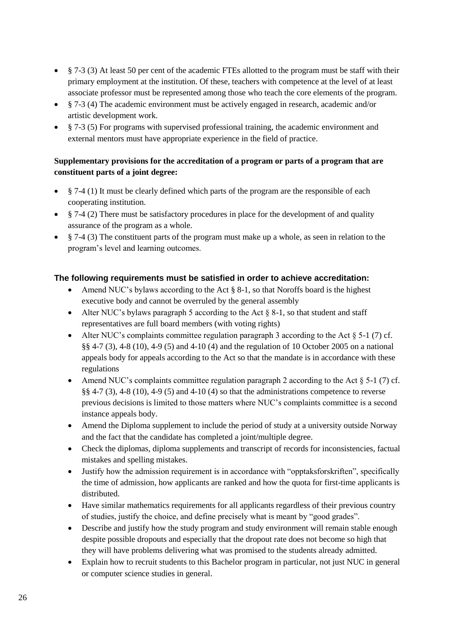- § 7-3 (3) At least 50 per cent of the academic FTEs allotted to the program must be staff with their primary employment at the institution. Of these, teachers with competence at the level of at least associate professor must be represented among those who teach the core elements of the program.
- § 7-3 (4) The academic environment must be actively engaged in research, academic and/or artistic development work.
- § 7-3 (5) For programs with supervised professional training, the academic environment and external mentors must have appropriate experience in the field of practice.

# **Supplementary provisions for the accreditation of a program or parts of a program that are constituent parts of a joint degree:**

- $\bullet$   $\&$  7-4 (1) It must be clearly defined which parts of the program are the responsible of each cooperating institution.
- $§$  7-4 (2) There must be satisfactory procedures in place for the development of and quality assurance of the program as a whole.
- § 7-4 (3) The constituent parts of the program must make up a whole, as seen in relation to the program's level and learning outcomes.

# **The following requirements must be satisfied in order to achieve accreditation:**

- Amend NUC's bylaws according to the Act  $\S$  8-1, so that Noroffs board is the highest executive body and cannot be overruled by the general assembly
- Alter NUC's bylaws paragraph 5 according to the Act  $\S$  8-1, so that student and staff representatives are full board members (with voting rights)
- Alter NUC's complaints committee regulation paragraph 3 according to the Act  $\S$  5-1 (7) cf. §§ 4-7 (3), 4-8 (10), 4-9 (5) and 4-10 (4) and the regulation of 10 October 2005 on a national appeals body for appeals according to the Act so that the mandate is in accordance with these regulations
- Amend NUC's complaints committee regulation paragraph 2 according to the Act  $\S$  5-1 (7) cf. §§ 4-7 (3), 4-8 (10), 4-9 (5) and 4-10 (4) so that the administrations competence to reverse previous decisions is limited to those matters where NUC's complaints committee is a second instance appeals body.
- Amend the Diploma supplement to include the period of study at a university outside Norway and the fact that the candidate has completed a joint/multiple degree.
- Check the diplomas, diploma supplements and transcript of records for inconsistencies, factual mistakes and spelling mistakes.
- Justify how the admission requirement is in accordance with "opptaksforskriften", specifically the time of admission, how applicants are ranked and how the quota for first-time applicants is distributed.
- Have similar mathematics requirements for all applicants regardless of their previous country of studies, justify the choice, and define precisely what is meant by "good grades".
- Describe and justify how the study program and study environment will remain stable enough despite possible dropouts and especially that the dropout rate does not become so high that they will have problems delivering what was promised to the students already admitted.
- Explain how to recruit students to this Bachelor program in particular, not just NUC in general or computer science studies in general.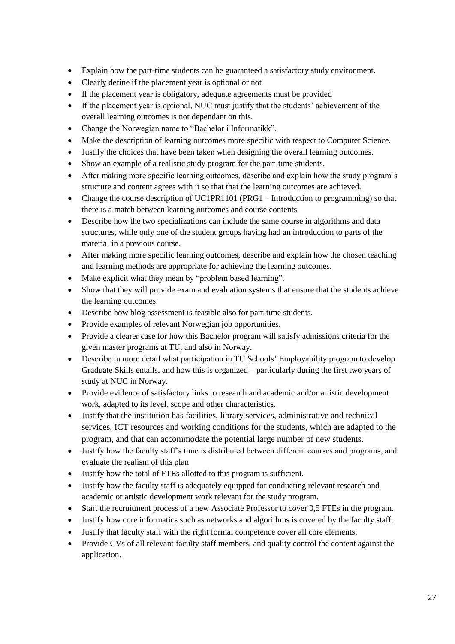- Explain how the part-time students can be guaranteed a satisfactory study environment.
- Clearly define if the placement year is optional or not
- If the placement year is obligatory, adequate agreements must be provided
- If the placement year is optional, NUC must justify that the students' achievement of the overall learning outcomes is not dependant on this.
- Change the Norwegian name to "Bachelor i Informatikk".
- Make the description of learning outcomes more specific with respect to Computer Science.
- Justify the choices that have been taken when designing the overall learning outcomes.
- Show an example of a realistic study program for the part-time students.
- After making more specific learning outcomes, describe and explain how the study program's structure and content agrees with it so that that the learning outcomes are achieved.
- Change the course description of UC1PR1101 (PRG1 Introduction to programming) so that there is a match between learning outcomes and course contents.
- Describe how the two specializations can include the same course in algorithms and data structures, while only one of the student groups having had an introduction to parts of the material in a previous course.
- After making more specific learning outcomes, describe and explain how the chosen teaching and learning methods are appropriate for achieving the learning outcomes.
- Make explicit what they mean by "problem based learning".
- Show that they will provide exam and evaluation systems that ensure that the students achieve the learning outcomes.
- Describe how blog assessment is feasible also for part-time students.
- Provide examples of relevant Norwegian job opportunities.
- Provide a clearer case for how this Bachelor program will satisfy admissions criteria for the given master programs at TU, and also in Norway.
- Describe in more detail what participation in TU Schools' Employability program to develop Graduate Skills entails, and how this is organized – particularly during the first two years of study at NUC in Norway.
- Provide evidence of satisfactory links to research and academic and/or artistic development work, adapted to its level, scope and other characteristics.
- Justify that the institution has facilities, library services, administrative and technical services, ICT resources and working conditions for the students, which are adapted to the program, and that can accommodate the potential large number of new students.
- Justify how the faculty staff's time is distributed between different courses and programs, and evaluate the realism of this plan
- Justify how the total of FTEs allotted to this program is sufficient.
- Justify how the faculty staff is adequately equipped for conducting relevant research and academic or artistic development work relevant for the study program.
- Start the recruitment process of a new Associate Professor to cover 0,5 FTEs in the program.
- Justify how core informatics such as networks and algorithms is covered by the faculty staff.
- Justify that faculty staff with the right formal competence cover all core elements.
- Provide CVs of all relevant faculty staff members, and quality control the content against the application.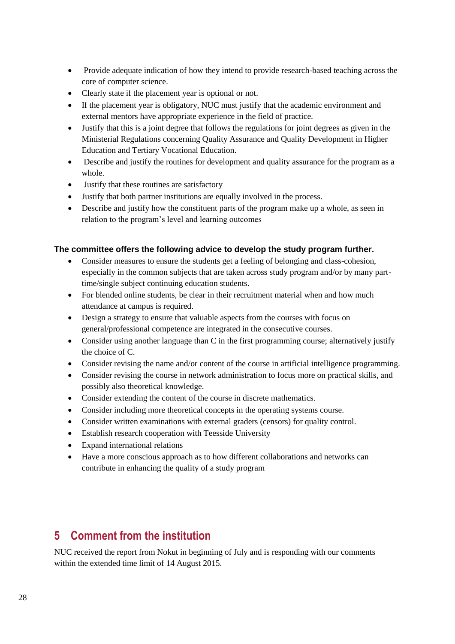- Provide adequate indication of how they intend to provide research-based teaching across the core of computer science.
- Clearly state if the placement year is optional or not.
- If the placement year is obligatory, NUC must justify that the academic environment and external mentors have appropriate experience in the field of practice.
- Justify that this is a joint degree that follows the regulations for joint degrees as given in the Ministerial Regulations concerning Quality Assurance and Quality Development in Higher Education and Tertiary Vocational Education.
- Describe and justify the routines for development and quality assurance for the program as a whole.
- Justify that these routines are satisfactory
- Justify that both partner institutions are equally involved in the process.
- Describe and justify how the constituent parts of the program make up a whole, as seen in relation to the program's level and learning outcomes

### **The committee offers the following advice to develop the study program further.**

- Consider measures to ensure the students get a feeling of belonging and class-cohesion, especially in the common subjects that are taken across study program and/or by many parttime/single subject continuing education students.
- For blended online students, be clear in their recruitment material when and how much attendance at campus is required.
- Design a strategy to ensure that valuable aspects from the courses with focus on general/professional competence are integrated in the consecutive courses.
- Consider using another language than C in the first programming course; alternatively justify the choice of C.
- Consider revising the name and/or content of the course in artificial intelligence programming.
- Consider revising the course in network administration to focus more on practical skills, and possibly also theoretical knowledge.
- Consider extending the content of the course in discrete mathematics.
- Consider including more theoretical concepts in the operating systems course.
- Consider written examinations with external graders (censors) for quality control.
- Establish research cooperation with Teesside University
- Expand international relations
- Have a more conscious approach as to how different collaborations and networks can contribute in enhancing the quality of a study program

# <span id="page-31-0"></span>**5 Comment from the institution**

NUC received the report from Nokut in beginning of July and is responding with our comments within the extended time limit of 14 August 2015.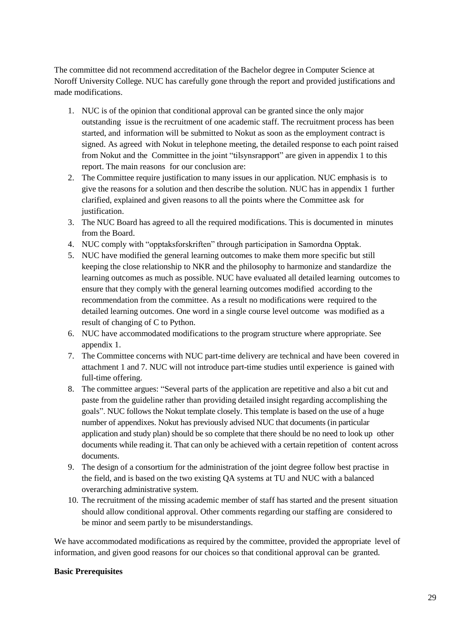The committee did not recommend accreditation of the Bachelor degree in Computer Science at Noroff University College. NUC has carefully gone through the report and provided justifications and made modifications.

- 1. NUC is of the opinion that conditional approval can be granted since the only major outstanding issue is the recruitment of one academic staff. The recruitment process has been started, and information will be submitted to Nokut as soon as the employment contract is signed. As agreed with Nokut in telephone meeting, the detailed response to each point raised from Nokut and the Committee in the joint "tilsynsrapport" are given in appendix 1 to this report. The main reasons for our conclusion are:
- 2. The Committee require justification to many issues in our application. NUC emphasis is to give the reasons for a solution and then describe the solution. NUC has in appendix 1 further clarified, explained and given reasons to all the points where the Committee ask for justification.
- 3. The NUC Board has agreed to all the required modifications. This is documented in minutes from the Board.
- 4. NUC comply with "opptaksforskriften" through participation in Samordna Opptak.
- 5. NUC have modified the general learning outcomes to make them more specific but still keeping the close relationship to NKR and the philosophy to harmonize and standardize the learning outcomes as much as possible. NUC have evaluated all detailed learning outcomes to ensure that they comply with the general learning outcomes modified according to the recommendation from the committee. As a result no modifications were required to the detailed learning outcomes. One word in a single course level outcome was modified as a result of changing of C to Python.
- 6. NUC have accommodated modifications to the program structure where appropriate. See appendix 1.
- 7. The Committee concerns with NUC part-time delivery are technical and have been covered in attachment 1 and 7. NUC will not introduce part-time studies until experience is gained with full-time offering.
- 8. The committee argues: "Several parts of the application are repetitive and also a bit cut and paste from the guideline rather than providing detailed insight regarding accomplishing the goals". NUC follows the Nokut template closely. This template is based on the use of a huge number of appendixes. Nokut has previously advised NUC that documents (in particular application and study plan) should be so complete that there should be no need to look up other documents while reading it. That can only be achieved with a certain repetition of content across documents.
- 9. The design of a consortium for the administration of the joint degree follow best practise in the field, and is based on the two existing QA systems at TU and NUC with a balanced overarching administrative system.
- 10. The recruitment of the missing academic member of staff has started and the present situation should allow conditional approval. Other comments regarding our staffing are considered to be minor and seem partly to be misunderstandings.

We have accommodated modifications as required by the committee, provided the appropriate level of information, and given good reasons for our choices so that conditional approval can be granted.

### **Basic Prerequisites**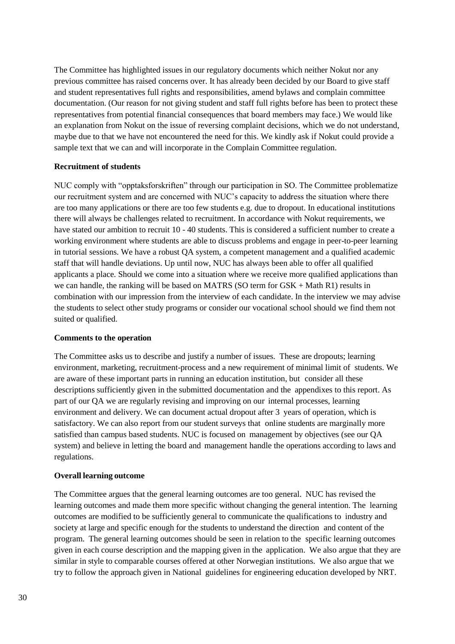The Committee has highlighted issues in our regulatory documents which neither Nokut nor any previous committee has raised concerns over. It has already been decided by our Board to give staff and student representatives full rights and responsibilities, amend bylaws and complain committee documentation. (Our reason for not giving student and staff full rights before has been to protect these representatives from potential financial consequences that board members may face.) We would like an explanation from Nokut on the issue of reversing complaint decisions, which we do not understand, maybe due to that we have not encountered the need for this. We kindly ask if Nokut could provide a sample text that we can and will incorporate in the Complain Committee regulation.

#### **Recruitment of students**

NUC comply with "opptaksforskriften" through our participation in SO. The Committee problematize our recruitment system and are concerned with NUC's capacity to address the situation where there are too many applications or there are too few students e.g. due to dropout. In educational institutions there will always be challenges related to recruitment. In accordance with Nokut requirements, we have stated our ambition to recruit 10 - 40 students. This is considered a sufficient number to create a working environment where students are able to discuss problems and engage in peer-to-peer learning in tutorial sessions. We have a robust QA system, a competent management and a qualified academic staff that will handle deviations. Up until now, NUC has always been able to offer all qualified applicants a place. Should we come into a situation where we receive more qualified applications than we can handle, the ranking will be based on MATRS (SO term for GSK + Math R1) results in combination with our impression from the interview of each candidate. In the interview we may advise the students to select other study programs or consider our vocational school should we find them not suited or qualified.

#### **Comments to the operation**

The Committee asks us to describe and justify a number of issues. These are dropouts; learning environment, marketing, recruitment-process and a new requirement of minimal limit of students. We are aware of these important parts in running an education institution, but consider all these descriptions sufficiently given in the submitted documentation and the appendixes to this report. As part of our QA we are regularly revising and improving on our internal processes, learning environment and delivery. We can document actual dropout after 3 years of operation, which is satisfactory. We can also report from our student surveys that online students are marginally more satisfied than campus based students. NUC is focused on management by objectives (see our QA system) and believe in letting the board and management handle the operations according to laws and regulations.

#### **Overall learning outcome**

The Committee argues that the general learning outcomes are too general. NUC has revised the learning outcomes and made them more specific without changing the general intention. The learning outcomes are modified to be sufficiently general to communicate the qualifications to industry and society at large and specific enough for the students to understand the direction and content of the program. The general learning outcomes should be seen in relation to the specific learning outcomes given in each course description and the mapping given in the application. We also argue that they are similar in style to comparable courses offered at other Norwegian institutions. We also argue that we try to follow the approach given in National guidelines for engineering education developed by NRT.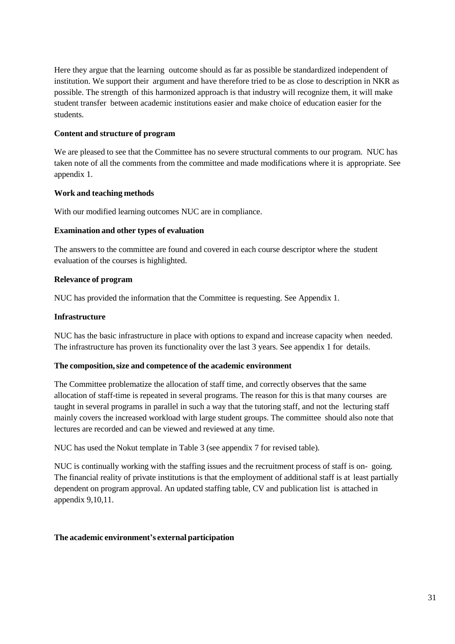Here they argue that the learning outcome should as far as possible be standardized independent of institution. We support their argument and have therefore tried to be as close to description in NKR as possible. The strength of this harmonized approach is that industry will recognize them, it will make student transfer between academic institutions easier and make choice of education easier for the students.

#### **Content and structure of program**

We are pleased to see that the Committee has no severe structural comments to our program. NUC has taken note of all the comments from the committee and made modifications where it is appropriate. See appendix 1.

#### **Work and teaching methods**

With our modified learning outcomes NUC are in compliance.

#### **Examination and other types of evaluation**

The answers to the committee are found and covered in each course descriptor where the student evaluation of the courses is highlighted.

#### **Relevance of program**

NUC has provided the information that the Committee is requesting. See Appendix 1.

#### **Infrastructure**

NUC has the basic infrastructure in place with options to expand and increase capacity when needed. The infrastructure has proven its functionality over the last 3 years. See appendix 1 for details.

#### **The composition,size and competence of the academic environment**

The Committee problematize the allocation of staff time, and correctly observes that the same allocation of staff-time is repeated in several programs. The reason for this is that many courses are taught in several programs in parallel in such a way that the tutoring staff, and not the lecturing staff mainly covers the increased workload with large student groups. The committee should also note that lectures are recorded and can be viewed and reviewed at any time.

NUC has used the Nokut template in Table 3 (see appendix 7 for revised table).

NUC is continually working with the staffing issues and the recruitment process of staff is on- going. The financial reality of private institutions is that the employment of additional staff is at least partially dependent on program approval. An updated staffing table, CV and publication list is attached in appendix 9,10,11.

### **The academic environment's external participation**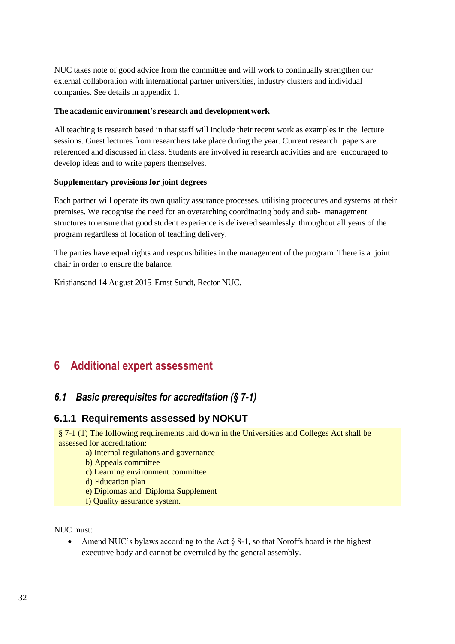NUC takes note of good advice from the committee and will work to continually strengthen our external collaboration with international partner universities, industry clusters and individual companies. See details in appendix 1.

#### **The academic environment's research and developmentwork**

All teaching is research based in that staff will include their recent work as examples in the lecture sessions. Guest lectures from researchers take place during the year. Current research papers are referenced and discussed in class. Students are involved in research activities and are encouraged to develop ideas and to write papers themselves.

#### **Supplementary provisions for joint degrees**

Each partner will operate its own quality assurance processes, utilising procedures and systems at their premises. We recognise the need for an overarching coordinating body and sub- management structures to ensure that good student experience is delivered seamlessly throughout all years of the program regardless of location of teaching delivery.

The parties have equal rights and responsibilities in the management of the program. There is a joint chair in order to ensure the balance.

Kristiansand 14 August 2015 Ernst Sundt, Rector NUC.

# <span id="page-35-0"></span>**6 Additional expert assessment**

# <span id="page-35-1"></span>*6.1 Basic prerequisites for accreditation (§ 7-1)*

# **6.1.1 Requirements assessed by NOKUT**

§ 7-1 (1) The following requirements laid down in the Universities and Colleges Act shall be assessed for accreditation: a) Internal regulations and governance b) Appeals committee c) Learning environment committee

d) Education plan

e) Diplomas and Diploma Supplement

f) Quality assurance system.

NUC must:

• Amend NUC's bylaws according to the Act  $\S$  8-1, so that Noroffs board is the highest executive body and cannot be overruled by the general assembly.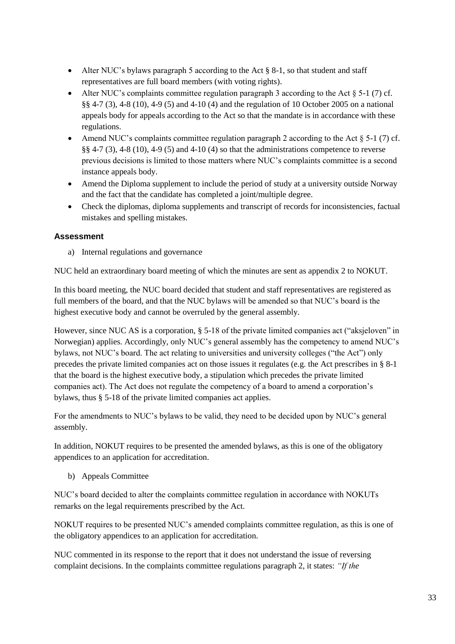- Alter NUC's bylaws paragraph 5 according to the Act § 8-1, so that student and staff representatives are full board members (with voting rights).
- Alter NUC's complaints committee regulation paragraph 3 according to the Act  $\S$  5-1 (7) cf. §§ 4-7 (3), 4-8 (10), 4-9 (5) and 4-10 (4) and the regulation of 10 October 2005 on a national appeals body for appeals according to the Act so that the mandate is in accordance with these regulations.
- Amend NUC's complaints committee regulation paragraph 2 according to the Act  $\S$  5-1 (7) cf. §§ 4-7 (3), 4-8 (10), 4-9 (5) and 4-10 (4) so that the administrations competence to reverse previous decisions is limited to those matters where NUC's complaints committee is a second instance appeals body.
- Amend the Diploma supplement to include the period of study at a university outside Norway and the fact that the candidate has completed a joint/multiple degree.
- Check the diplomas, diploma supplements and transcript of records for inconsistencies, factual mistakes and spelling mistakes.

a) Internal regulations and governance

NUC held an extraordinary board meeting of which the minutes are sent as appendix 2 to NOKUT.

In this board meeting, the NUC board decided that student and staff representatives are registered as full members of the board, and that the NUC bylaws will be amended so that NUC's board is the highest executive body and cannot be overruled by the general assembly.

However, since NUC AS is a corporation, § 5-18 of the private limited companies act ("aksjeloven" in Norwegian) applies. Accordingly, only NUC's general assembly has the competency to amend NUC's bylaws, not NUC's board. The act relating to universities and university colleges ("the Act") only precedes the private limited companies act on those issues it regulates (e.g. the Act prescribes in § 8-1 that the board is the highest executive body, a stipulation which precedes the private limited companies act). The Act does not regulate the competency of a board to amend a corporation's bylaws, thus § 5-18 of the private limited companies act applies.

For the amendments to NUC's bylaws to be valid, they need to be decided upon by NUC's general assembly.

In addition, NOKUT requires to be presented the amended bylaws, as this is one of the obligatory appendices to an application for accreditation.

b) Appeals Committee

NUC's board decided to alter the complaints committee regulation in accordance with NOKUTs remarks on the legal requirements prescribed by the Act.

NOKUT requires to be presented NUC's amended complaints committee regulation, as this is one of the obligatory appendices to an application for accreditation.

NUC commented in its response to the report that it does not understand the issue of reversing complaint decisions. In the complaints committee regulations paragraph 2, it states: *"If the*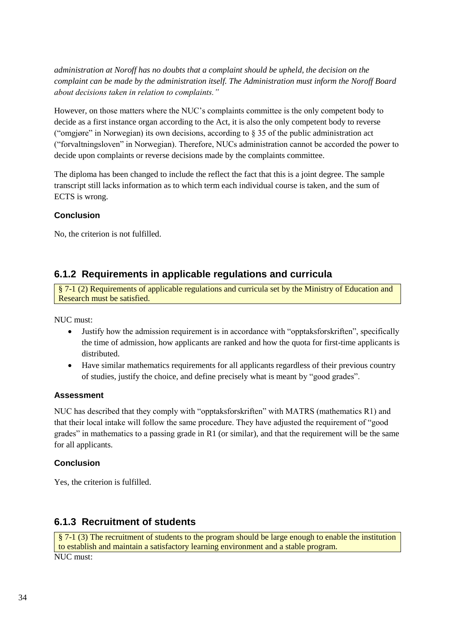*administration at Noroff has no doubts that a complaint should be upheld, the decision on the complaint can be made by the administration itself. The Administration must inform the Noroff Board about decisions taken in relation to complaints."*

However, on those matters where the NUC's complaints committee is the only competent body to decide as a first instance organ according to the Act, it is also the only competent body to reverse ("omgjøre" in Norwegian) its own decisions, according to  $\S$  35 of the public administration act ("forvaltningsloven" in Norwegian). Therefore, NUCs administration cannot be accorded the power to decide upon complaints or reverse decisions made by the complaints committee.

The diploma has been changed to include the reflect the fact that this is a joint degree. The sample transcript still lacks information as to which term each individual course is taken, and the sum of ECTS is wrong.

### **Conclusion**

No, the criterion is not fulfilled.

# **6.1.2 Requirements in applicable regulations and curricula**

§ 7-1 (2) Requirements of applicable regulations and curricula set by the Ministry of Education and Research must be satisfied.

NUC must:

- Justify how the admission requirement is in accordance with "opptaksforskriften", specifically the time of admission, how applicants are ranked and how the quota for first-time applicants is distributed.
- Have similar mathematics requirements for all applicants regardless of their previous country of studies, justify the choice, and define precisely what is meant by "good grades".

### **Assessment**

NUC has described that they comply with "opptaksforskriften" with MATRS (mathematics R1) and that their local intake will follow the same procedure. They have adjusted the requirement of "good grades" in mathematics to a passing grade in R1 (or similar), and that the requirement will be the same for all applicants.

### **Conclusion**

Yes, the criterion is fulfilled.

# **6.1.3 Recruitment of students**

```
§ 7-1 (3) The recruitment of students to the program should be large enough to enable the institution 
 to establish and maintain a satisfactory learning environment and a stable program.
NUC must:
```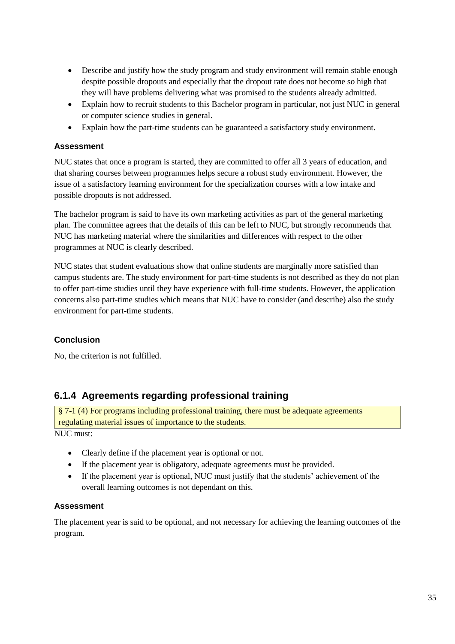- Describe and justify how the study program and study environment will remain stable enough despite possible dropouts and especially that the dropout rate does not become so high that they will have problems delivering what was promised to the students already admitted.
- Explain how to recruit students to this Bachelor program in particular, not just NUC in general or computer science studies in general.
- Explain how the part-time students can be guaranteed a satisfactory study environment.

NUC states that once a program is started, they are committed to offer all 3 years of education, and that sharing courses between programmes helps secure a robust study environment. However, the issue of a satisfactory learning environment for the specialization courses with a low intake and possible dropouts is not addressed.

The bachelor program is said to have its own marketing activities as part of the general marketing plan. The committee agrees that the details of this can be left to NUC, but strongly recommends that NUC has marketing material where the similarities and differences with respect to the other programmes at NUC is clearly described.

NUC states that student evaluations show that online students are marginally more satisfied than campus students are. The study environment for part-time students is not described as they do not plan to offer part-time studies until they have experience with full-time students. However, the application concerns also part-time studies which means that NUC have to consider (and describe) also the study environment for part-time students.

# **Conclusion**

No, the criterion is not fulfilled.

# **6.1.4 Agreements regarding professional training**

§ 7-1 (4) For programs including professional training, there must be adequate agreements regulating material issues of importance to the students.

NUC must:

- Clearly define if the placement year is optional or not.
- If the placement year is obligatory, adequate agreements must be provided.
- If the placement year is optional, NUC must justify that the students' achievement of the overall learning outcomes is not dependant on this.

### **Assessment**

The placement year is said to be optional, and not necessary for achieving the learning outcomes of the program.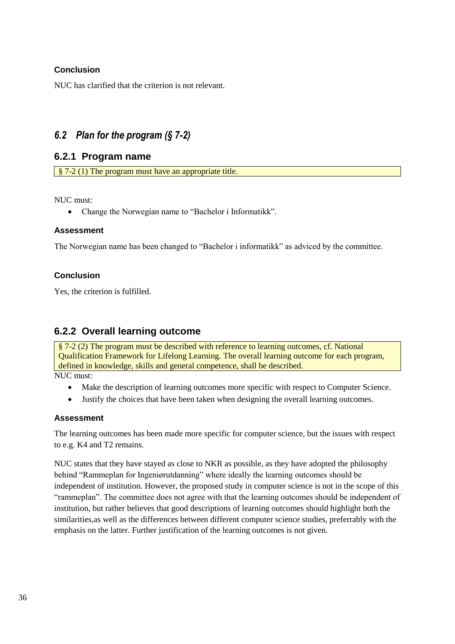# **Conclusion**

NUC has clarified that the criterion is not relevant.

# <span id="page-39-0"></span>*6.2 Plan for the program (§ 7-2)*

# **6.2.1 Program name**

§ 7-2 (1) The program must have an appropriate title.

#### NUC must:

• Change the Norwegian name to "Bachelor i Informatikk".

### **Assessment**

The Norwegian name has been changed to "Bachelor i informatikk" as adviced by the committee.

# **Conclusion**

Yes, the criterion is fulfilled.

# **6.2.2 Overall learning outcome**

§ 7-2 (2) The program must be described with reference to learning outcomes, cf. National Qualification Framework for Lifelong Learning. The overall learning outcome for each program, defined in knowledge, skills and general competence, shall be described. NUC must:

- Make the description of learning outcomes more specific with respect to Computer Science.
- Justify the choices that have been taken when designing the overall learning outcomes.

### **Assessment**

The learning outcomes has been made more specific for computer science, but the issues with respect to e.g. K4 and T2 remains.

NUC states that they have stayed as close to NKR as possible, as they have adopted the philosophy behind "Rammeplan for Ingeniørutdanning" where ideally the learning outcomes should be independent of institution. However, the proposed study in computer science is not in the scope of this "rammeplan". The committee does not agree with that the learning outcomes should be independent of institution, but rather believes that good descriptions of learning outcomes should highlight both the similarities,as well as the differences between different computer science studies, preferrably with the emphasis on the latter. Further justification of the learning outcomes is not given.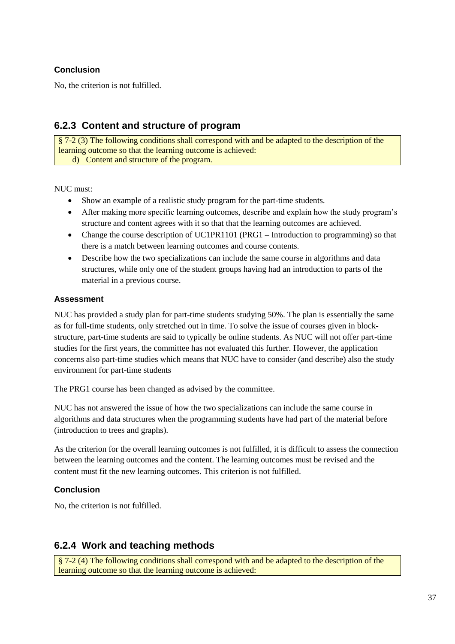# **Conclusion**

No, the criterion is not fulfilled.

# **6.2.3 Content and structure of program**

§ 7-2 (3) The following conditions shall correspond with and be adapted to the description of the learning outcome so that the learning outcome is achieved: d) Content and structure of the program.

NUC must:

- Show an example of a realistic study program for the part-time students.
- After making more specific learning outcomes, describe and explain how the study program's structure and content agrees with it so that that the learning outcomes are achieved.
- Change the course description of UC1PR1101 (PRG1 Introduction to programming) so that there is a match between learning outcomes and course contents.
- Describe how the two specializations can include the same course in algorithms and data structures, while only one of the student groups having had an introduction to parts of the material in a previous course.

### **Assessment**

NUC has provided a study plan for part-time students studying 50%. The plan is essentially the same as for full-time students, only stretched out in time. To solve the issue of courses given in blockstructure, part-time students are said to typically be online students. As NUC will not offer part-time studies for the first years, the committee has not evaluated this further. However, the application concerns also part-time studies which means that NUC have to consider (and describe) also the study environment for part-time students

The PRG1 course has been changed as advised by the committee.

NUC has not answered the issue of how the two specializations can include the same course in algorithms and data structures when the programming students have had part of the material before (introduction to trees and graphs).

As the criterion for the overall learning outcomes is not fulfilled, it is difficult to assess the connection between the learning outcomes and the content. The learning outcomes must be revised and the content must fit the new learning outcomes. This criterion is not fulfilled.

# **Conclusion**

No, the criterion is not fulfilled.

# **6.2.4 Work and teaching methods**

§ 7-2 (4) The following conditions shall correspond with and be adapted to the description of the learning outcome so that the learning outcome is achieved: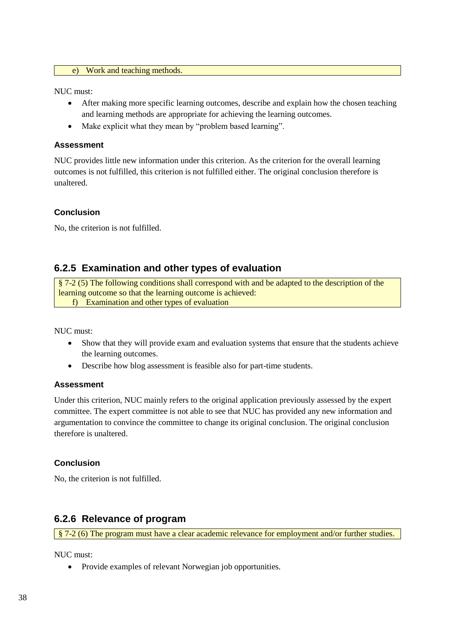#### e) Work and teaching methods.

NUC must:

- After making more specific learning outcomes, describe and explain how the chosen teaching and learning methods are appropriate for achieving the learning outcomes.
- Make explicit what they mean by "problem based learning".

#### **Assessment**

NUC provides little new information under this criterion. As the criterion for the overall learning outcomes is not fulfilled, this criterion is not fulfilled either. The original conclusion therefore is unaltered.

#### **Conclusion**

No, the criterion is not fulfilled.

# **6.2.5 Examination and other types of evaluation**

§ 7-2 (5) The following conditions shall correspond with and be adapted to the description of the learning outcome so that the learning outcome is achieved: f) Examination and other types of evaluation

NUC must:

- Show that they will provide exam and evaluation systems that ensure that the students achieve the learning outcomes.
- Describe how blog assessment is feasible also for part-time students.

#### **Assessment**

Under this criterion, NUC mainly refers to the original application previously assessed by the expert committee. The expert committee is not able to see that NUC has provided any new information and argumentation to convince the committee to change its original conclusion. The original conclusion therefore is unaltered.

#### **Conclusion**

No, the criterion is not fulfilled.

# **6.2.6 Relevance of program**

§ 7-2 (6) The program must have a clear academic relevance for employment and/or further studies.

NUC must:

Provide examples of relevant Norwegian job opportunities.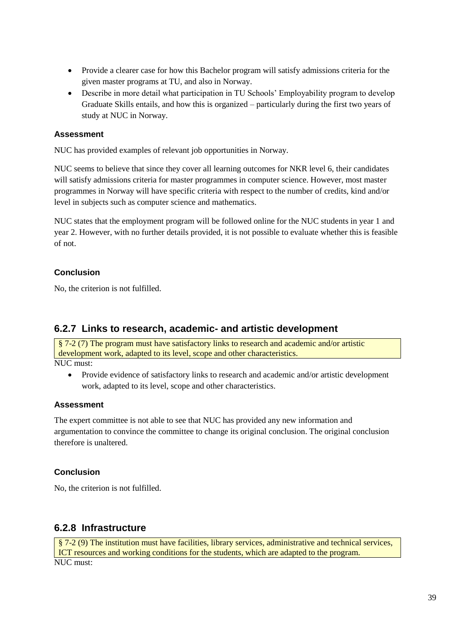- Provide a clearer case for how this Bachelor program will satisfy admissions criteria for the given master programs at TU, and also in Norway.
- Describe in more detail what participation in TU Schools' Employability program to develop Graduate Skills entails, and how this is organized – particularly during the first two years of study at NUC in Norway.

NUC has provided examples of relevant job opportunities in Norway.

NUC seems to believe that since they cover all learning outcomes for NKR level 6, their candidates will satisfy admissions criteria for master programmes in computer science. However, most master programmes in Norway will have specific criteria with respect to the number of credits, kind and/or level in subjects such as computer science and mathematics.

NUC states that the employment program will be followed online for the NUC students in year 1 and year 2. However, with no further details provided, it is not possible to evaluate whether this is feasible of not.

# **Conclusion**

No, the criterion is not fulfilled.

# **6.2.7 Links to research, academic- and artistic development**

§ 7-2 (7) The program must have satisfactory links to research and academic and/or artistic development work, adapted to its level, scope and other characteristics. NUC must:

 Provide evidence of satisfactory links to research and academic and/or artistic development work, adapted to its level, scope and other characteristics.

### **Assessment**

The expert committee is not able to see that NUC has provided any new information and argumentation to convince the committee to change its original conclusion. The original conclusion therefore is unaltered.

### **Conclusion**

No, the criterion is not fulfilled.

# **6.2.8 Infrastructure**

```
§ 7-2 (9) The institution must have facilities, library services, administrative and technical services, 
ICT resources and working conditions for the students, which are adapted to the program.
NUC must:
```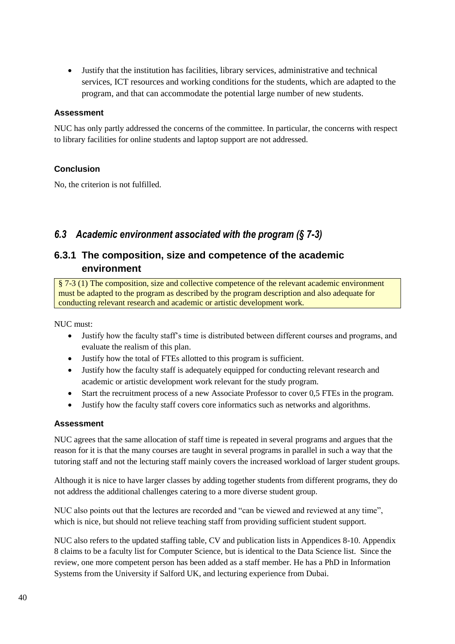Justify that the institution has facilities, library services, administrative and technical services, ICT resources and working conditions for the students, which are adapted to the program, and that can accommodate the potential large number of new students.

#### **Assessment**

NUC has only partly addressed the concerns of the committee. In particular, the concerns with respect to library facilities for online students and laptop support are not addressed.

# **Conclusion**

No, the criterion is not fulfilled.

# <span id="page-43-0"></span>*6.3 Academic environment associated with the program (§ 7-3)*

# **6.3.1 The composition, size and competence of the academic environment**

§ 7-3 (1) The composition, size and collective competence of the relevant academic environment must be adapted to the program as described by the program description and also adequate for conducting relevant research and academic or artistic development work.

NUC must:

- Justify how the faculty staff's time is distributed between different courses and programs, and evaluate the realism of this plan.
- Justify how the total of FTEs allotted to this program is sufficient.
- Justify how the faculty staff is adequately equipped for conducting relevant research and academic or artistic development work relevant for the study program.
- Start the recruitment process of a new Associate Professor to cover 0,5 FTEs in the program.
- Justify how the faculty staff covers core informatics such as networks and algorithms.

### **Assessment**

NUC agrees that the same allocation of staff time is repeated in several programs and argues that the reason for it is that the many courses are taught in several programs in parallel in such a way that the tutoring staff and not the lecturing staff mainly covers the increased workload of larger student groups.

Although it is nice to have larger classes by adding together students from different programs, they do not address the additional challenges catering to a more diverse student group.

NUC also points out that the lectures are recorded and "can be viewed and reviewed at any time", which is nice, but should not relieve teaching staff from providing sufficient student support.

NUC also refers to the updated staffing table, CV and publication lists in Appendices 8-10. Appendix 8 claims to be a faculty list for Computer Science, but is identical to the Data Science list. Since the review, one more competent person has been added as a staff member. He has a PhD in Information Systems from the University if Salford UK, and lecturing experience from Dubai.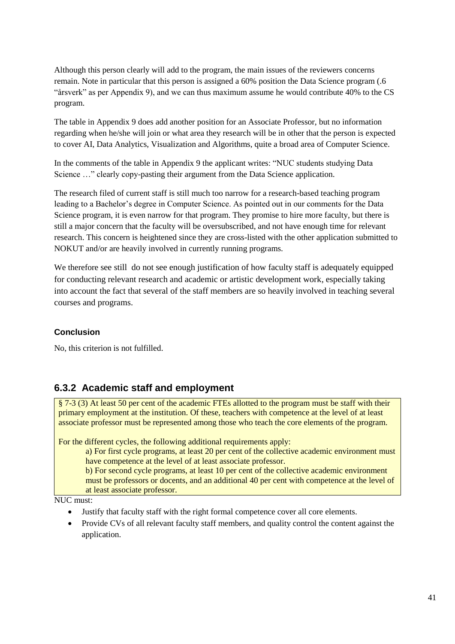Although this person clearly will add to the program, the main issues of the reviewers concerns remain. Note in particular that this person is assigned a 60% position the Data Science program (.6 "årsverk" as per Appendix 9), and we can thus maximum assume he would contribute 40% to the CS program.

The table in Appendix 9 does add another position for an Associate Professor, but no information regarding when he/she will join or what area they research will be in other that the person is expected to cover AI, Data Analytics, Visualization and Algorithms, quite a broad area of Computer Science.

In the comments of the table in Appendix 9 the applicant writes: "NUC students studying Data Science ..." clearly copy-pasting their argument from the Data Science application.

The research filed of current staff is still much too narrow for a research-based teaching program leading to a Bachelor's degree in Computer Science. As pointed out in our comments for the Data Science program, it is even narrow for that program. They promise to hire more faculty, but there is still a major concern that the faculty will be oversubscribed, and not have enough time for relevant research. This concern is heightened since they are cross-listed with the other application submitted to NOKUT and/or are heavily involved in currently running programs.

We therefore see still do not see enough justification of how faculty staff is adequately equipped for conducting relevant research and academic or artistic development work, especially taking into account the fact that several of the staff members are so heavily involved in teaching several courses and programs.

# **Conclusion**

No, this criterion is not fulfilled.

# **6.3.2 Academic staff and employment**

§ 7-3 (3) At least 50 per cent of the academic FTEs allotted to the program must be staff with their primary employment at the institution. Of these, teachers with competence at the level of at least associate professor must be represented among those who teach the core elements of the program.

For the different cycles, the following additional requirements apply:

a) For first cycle programs, at least 20 per cent of the collective academic environment must have competence at the level of at least associate professor.

b) For second cycle programs, at least 10 per cent of the collective academic environment must be professors or docents, and an additional 40 per cent with competence at the level of at least associate professor.

NUC must:

- Justify that faculty staff with the right formal competence cover all core elements.
- Provide CVs of all relevant faculty staff members, and quality control the content against the application.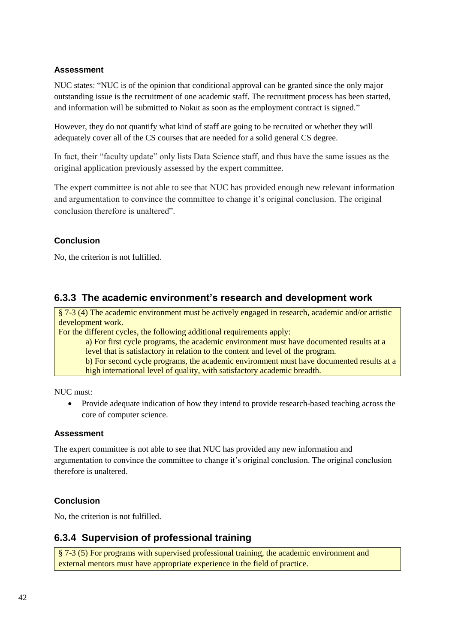NUC states: "NUC is of the opinion that conditional approval can be granted since the only major outstanding issue is the recruitment of one academic staff. The recruitment process has been started, and information will be submitted to Nokut as soon as the employment contract is signed."

However, they do not quantify what kind of staff are going to be recruited or whether they will adequately cover all of the CS courses that are needed for a solid general CS degree.

In fact, their "faculty update" only lists Data Science staff, and thus have the same issues as the original application previously assessed by the expert committee.

The expert committee is not able to see that NUC has provided enough new relevant information and argumentation to convince the committee to change it's original conclusion. The original conclusion therefore is unaltered".

# **Conclusion**

No, the criterion is not fulfilled.

# **6.3.3 The academic environment's research and development work**

§ 7-3 (4) The academic environment must be actively engaged in research, academic and/or artistic development work.

For the different cycles, the following additional requirements apply:

a) For first cycle programs, the academic environment must have documented results at a level that is satisfactory in relation to the content and level of the program.

b) For second cycle programs, the academic environment must have documented results at a high international level of quality, with satisfactory academic breadth.

NUC must:

 Provide adequate indication of how they intend to provide research-based teaching across the core of computer science.

### **Assessment**

The expert committee is not able to see that NUC has provided any new information and argumentation to convince the committee to change it's original conclusion. The original conclusion therefore is unaltered.

# **Conclusion**

No, the criterion is not fulfilled.

# **6.3.4 Supervision of professional training**

§ 7-3 (5) For programs with supervised professional training, the academic environment and external mentors must have appropriate experience in the field of practice.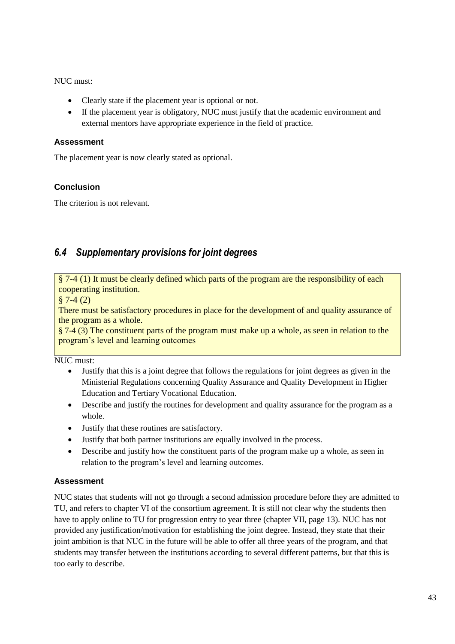NUC must:

- Clearly state if the placement year is optional or not.
- If the placement year is obligatory, NUC must justify that the academic environment and external mentors have appropriate experience in the field of practice.

# **Assessment**

The placement year is now clearly stated as optional.

# **Conclusion**

The criterion is not relevant.

# <span id="page-46-0"></span>*6.4 Supplementary provisions for joint degrees*

§ 7-4 (1) It must be clearly defined which parts of the program are the responsibility of each cooperating institution.

 $§ 7-4(2)$ 

There must be satisfactory procedures in place for the development of and quality assurance of the program as a whole.

 $\S$  7-4 (3) The constituent parts of the program must make up a whole, as seen in relation to the program's level and learning outcomes

NUC must:

- Justify that this is a joint degree that follows the regulations for joint degrees as given in the Ministerial Regulations concerning Quality Assurance and Quality Development in Higher Education and Tertiary Vocational Education.
- Describe and justify the routines for development and quality assurance for the program as a whole.
- Justify that these routines are satisfactory.
- Justify that both partner institutions are equally involved in the process.
- Describe and justify how the constituent parts of the program make up a whole, as seen in relation to the program's level and learning outcomes.

# **Assessment**

NUC states that students will not go through a second admission procedure before they are admitted to TU, and refers to chapter VI of the consortium agreement. It is still not clear why the students then have to apply online to TU for progression entry to year three (chapter VII, page 13). NUC has not provided any justification/motivation for establishing the joint degree. Instead, they state that their joint ambition is that NUC in the future will be able to offer all three years of the program, and that students may transfer between the institutions according to several different patterns, but that this is too early to describe.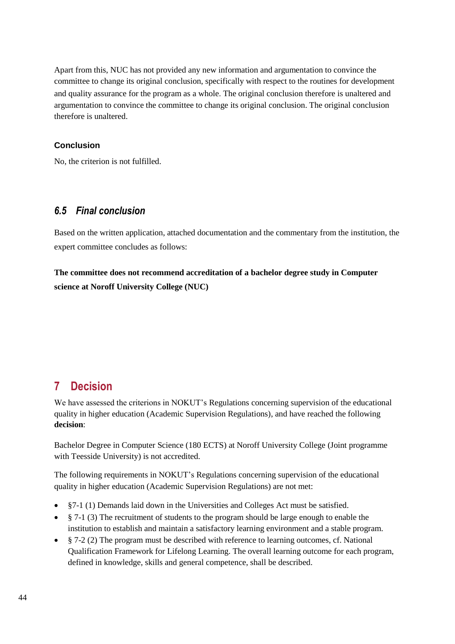Apart from this, NUC has not provided any new information and argumentation to convince the committee to change its original conclusion, specifically with respect to the routines for development and quality assurance for the program as a whole. The original conclusion therefore is unaltered and argumentation to convince the committee to change its original conclusion. The original conclusion therefore is unaltered.

### **Conclusion**

No, the criterion is not fulfilled.

# <span id="page-47-0"></span>*6.5 Final conclusion*

Based on the written application, attached documentation and the commentary from the institution, the expert committee concludes as follows:

**The committee does not recommend accreditation of a bachelor degree study in Computer science at Noroff University College (NUC)**

# <span id="page-47-1"></span>**7 Decision**

We have assessed the criterions in NOKUT's [Regulations concerning supervision of the educational](http://www.nokut.no/Documents/NOKUT/Artikkelbibliotek/Norsk_utdanning/Forskrifter_Kriterier_mm/Regulations_concerning_supervision_of_the_educational_quality_in_higher_education.pdf)  [quality in higher education \(Academic Supervision Regulations\),](http://www.nokut.no/Documents/NOKUT/Artikkelbibliotek/Norsk_utdanning/Forskrifter_Kriterier_mm/Regulations_concerning_supervision_of_the_educational_quality_in_higher_education.pdf) and have reached the following **decision**:

Bachelor Degree in Computer Science (180 ECTS) at Noroff University College (Joint programme with Teesside University) is not accredited.

The following requirements in NOKUT's [Regulations concerning supervision of the educational](http://www.nokut.no/Documents/NOKUT/Artikkelbibliotek/Norsk_utdanning/Forskrifter_Kriterier_mm/Regulations_concerning_supervision_of_the_educational_quality_in_higher_education.pdf)  [quality in higher education \(Academic Supervision Regulations\)](http://www.nokut.no/Documents/NOKUT/Artikkelbibliotek/Norsk_utdanning/Forskrifter_Kriterier_mm/Regulations_concerning_supervision_of_the_educational_quality_in_higher_education.pdf) are not met:

- §7-1 (1) Demands laid down in the Universities and Colleges Act must be satisfied.
- $\frac{8}{3}$  7-1 (3) The recruitment of students to the program should be large enough to enable the institution to establish and maintain a satisfactory learning environment and a stable program.
- $\frac{1}{2}$  7-2 (2) The program must be described with reference to learning outcomes, cf. National Qualification Framework for Lifelong Learning. The overall learning outcome for each program, defined in knowledge, skills and general competence, shall be described.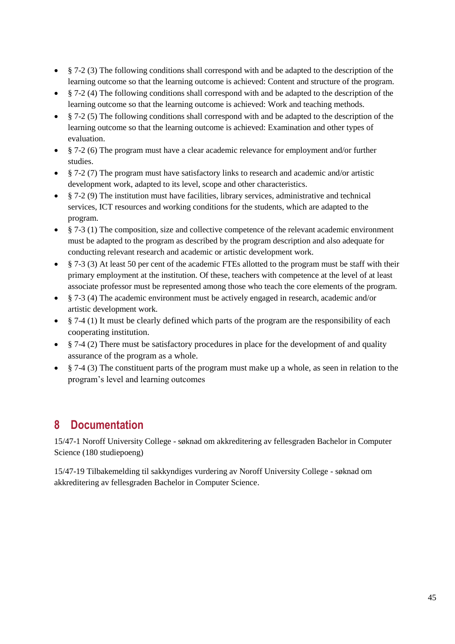- § 7-2 (3) The following conditions shall correspond with and be adapted to the description of the learning outcome so that the learning outcome is achieved: Content and structure of the program.
- § 7-2 (4) The following conditions shall correspond with and be adapted to the description of the learning outcome so that the learning outcome is achieved: Work and teaching methods.
- $§$  7-2 (5) The following conditions shall correspond with and be adapted to the description of the learning outcome so that the learning outcome is achieved: Examination and other types of evaluation.
- § 7-2 (6) The program must have a clear academic relevance for employment and/or further studies.
- § 7-2 (7) The program must have satisfactory links to research and academic and/or artistic development work, adapted to its level, scope and other characteristics.
- $§$  7-2 (9) The institution must have facilities, library services, administrative and technical services, ICT resources and working conditions for the students, which are adapted to the program.
- § 7-3 (1) The composition, size and collective competence of the relevant academic environment must be adapted to the program as described by the program description and also adequate for conducting relevant research and academic or artistic development work.
- § 7-3 (3) At least 50 per cent of the academic FTEs allotted to the program must be staff with their primary employment at the institution. Of these, teachers with competence at the level of at least associate professor must be represented among those who teach the core elements of the program.
- § 7-3 (4) The academic environment must be actively engaged in research, academic and/or artistic development work.
- § 7-4 (1) It must be clearly defined which parts of the program are the responsibility of each cooperating institution.
- § 7-4 (2) There must be satisfactory procedures in place for the development of and quality assurance of the program as a whole.
- § 7-4 (3) The constituent parts of the program must make up a whole, as seen in relation to the program's level and learning outcomes

# <span id="page-48-0"></span>**8 Documentation**

15/47-1 Noroff University College - søknad om akkreditering av fellesgraden Bachelor in Computer Science (180 studiepoeng)

15/47-19 Tilbakemelding til sakkyndiges vurdering av Noroff University College - søknad om akkreditering av fellesgraden Bachelor in Computer Science.